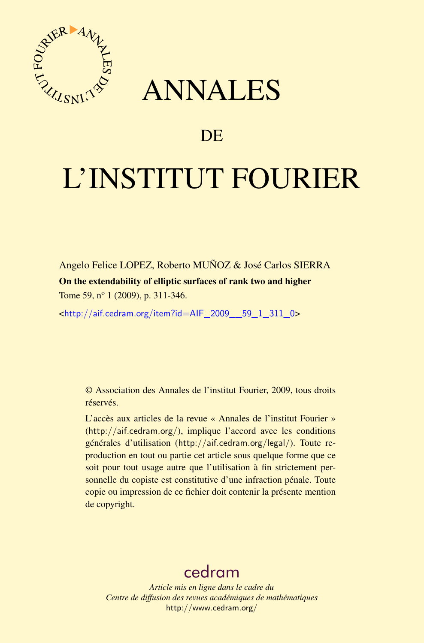

## ANNALES

## **DE**

# L'INSTITUT FOURIER

Angelo Felice LOPEZ, Roberto MUÑOZ & José Carlos SIERRA On the extendability of elliptic surfaces of rank two and higher Tome 59, n<sup>o</sup> 1 (2009), p. 311-346.

<[http://aif.cedram.org/item?id=AIF\\_2009\\_\\_59\\_1\\_311\\_0](http://aif.cedram.org/item?id=AIF_2009__59_1_311_0)>

© Association des Annales de l'institut Fourier, 2009, tous droits réservés.

L'accès aux articles de la revue « Annales de l'institut Fourier » (<http://aif.cedram.org/>), implique l'accord avec les conditions générales d'utilisation (<http://aif.cedram.org/legal/>). Toute reproduction en tout ou partie cet article sous quelque forme que ce soit pour tout usage autre que l'utilisation à fin strictement personnelle du copiste est constitutive d'une infraction pénale. Toute copie ou impression de ce fichier doit contenir la présente mention de copyright.

## [cedram](http://www.cedram.org/)

*Article mis en ligne dans le cadre du Centre de diffusion des revues académiques de mathématiques* <http://www.cedram.org/>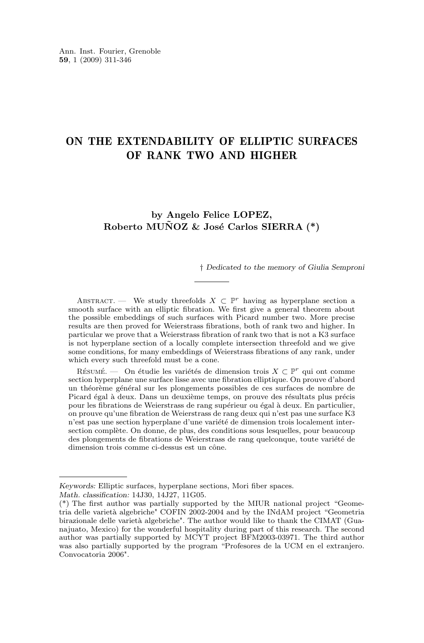### ON THE EXTENDABILITY OF ELLIPTIC SURFACES OF RANK TWO AND HIGHER

### **by Angelo Felice LOPEZ, Roberto MUÑOZ & José Carlos SIERRA (\*)**

† *Dedicated to the memory of Giulia Semproni*

ABSTRACT. — We study threefolds  $X \subset \mathbb{P}^r$  having as hyperplane section a smooth surface with an elliptic fibration. We first give a general theorem about the possible embeddings of such surfaces with Picard number two. More precise results are then proved for Weierstrass fibrations, both of rank two and higher. In particular we prove that a Weierstrass fibration of rank two that is not a K3 surface is not hyperplane section of a locally complete intersection threefold and we give some conditions, for many embeddings of Weierstrass fibrations of any rank, under which every such threefold must be a cone.

RÉSUMÉ. — On étudie les variétés de dimension trois  $X \subset \mathbb{P}^r$  qui ont comme section hyperplane une surface lisse avec une fibration elliptique. On prouve d'abord un théorème général sur les plongements possibles de ces surfaces de nombre de Picard égal à deux. Dans un deuxième temps, on prouve des résultats plus précis pour les fibrations de Weierstrass de rang supérieur ou égal à deux. En particulier, on prouve qu'une fibration de Weierstrass de rang deux qui n'est pas une surface K3 n'est pas une section hyperplane d'une variété de dimension trois localement intersection complète. On donne, de plus, des conditions sous lesquelles, pour beaucoup des plongements de fibrations de Weierstrass de rang quelconque, toute variété de dimension trois comme ci-dessus est un cône.

*Keywords:* Elliptic surfaces, hyperplane sections, Mori fiber spaces. *Math. classification:* 14J30, 14J27, 11G05.

<sup>(\*)</sup> The first author was partially supported by the MIUR national project "Geometria delle varietà algebriche" COFIN 2002-2004 and by the INdAM project "Geometria birazionale delle varietà algebriche". The author would like to thank the CIMAT (Guanajuato, Mexico) for the wonderful hospitality during part of this research. The second author was partially supported by MCYT project BFM2003-03971. The third author was also partially supported by the program "Profesores de la UCM en el extranjero. Convocatoria 2006".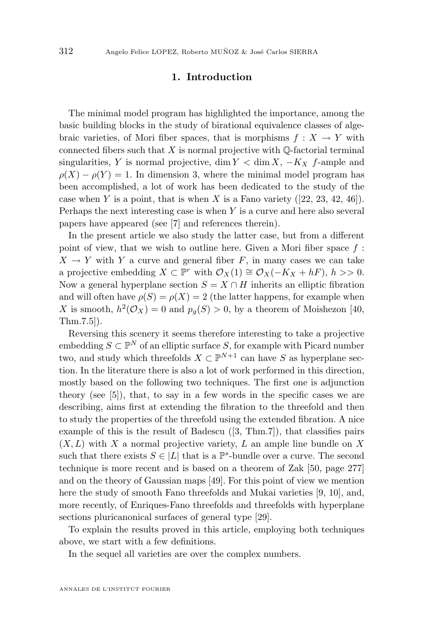#### **1. Introduction**

The minimal model program has highlighted the importance, among the basic building blocks in the study of birational equivalence classes of algebraic varieties, of Mori fiber spaces, that is morphisms  $f: X \to Y$  with connected fibers such that  $X$  is normal projective with  $\mathbb Q$ -factorial terminal singularities, Y is normal projective, dim  $Y < \dim X$ ,  $-K_X$  f-ample and  $\rho(X) - \rho(Y) = 1$ . In dimension 3, where the minimal model program has been accomplished, a lot of work has been dedicated to the study of the case when Y is a point, that is when X is a Fano variety  $(22, 23, 42, 46)$  $(22, 23, 42, 46)$  $(22, 23, 42, 46)$  $(22, 23, 42, 46)$  $(22, 23, 42, 46)$ . Perhaps the next interesting case is when  $Y$  is a curve and here also several papers have appeared (see [\[7\]](#page-34-0) and references therein).

In the present article we also study the latter case, but from a different point of view, that we wish to outline here. Given a Mori fiber space  $f$ :  $X \to Y$  with Y a curve and general fiber F, in many cases we can take a projective embedding  $X \subset \mathbb{P}^r$  with  $\mathcal{O}_X(1) \cong \mathcal{O}_X(-K_X + hF), h >> 0.$ Now a general hyperplane section  $S = X \cap H$  inherits an elliptic fibration and will often have  $\rho(S) = \rho(X) = 2$  (the latter happens, for example when X is smooth,  $h^2(\mathcal{O}_X) = 0$  and  $p_g(S) > 0$ , by a theorem of Moishezon [\[40,](#page-35-0) Thm.7.5]).

Reversing this scenery it seems therefore interesting to take a projective embedding  $S \subset \mathbb{P}^N$  of an elliptic surface S, for example with Picard number two, and study which threefolds  $X \subset \mathbb{P}^{N+1}$  can have S as hyperplane section. In the literature there is also a lot of work performed in this direction, mostly based on the following two techniques. The first one is adjunction theory (see [\[5\]](#page-34-0)), that, to say in a few words in the specific cases we are describing, aims first at extending the fibration to the threefold and then to study the properties of the threefold using the extended fibration. A nice example of this is the result of Badescu ([\[3,](#page-33-0) Thm.7]), that classifies pairs  $(X, L)$  with X a normal projective variety, L an ample line bundle on X such that there exists  $S \in |L|$  that is a  $\mathbb{P}^s$ -bundle over a curve. The second technique is more recent and is based on a theorem of Zak [\[50,](#page-36-0) page 277] and on the theory of Gaussian maps [\[49\]](#page-35-0). For this point of view we mention here the study of smooth Fano threefolds and Mukai varieties [\[9,](#page-34-0) [10\]](#page-34-0), and, more recently, of Enriques-Fano threefolds and threefolds with hyperplane sections pluricanonical surfaces of general type [\[29\]](#page-35-0).

To explain the results proved in this article, employing both techniques above, we start with a few definitions.

In the sequel all varieties are over the complex numbers.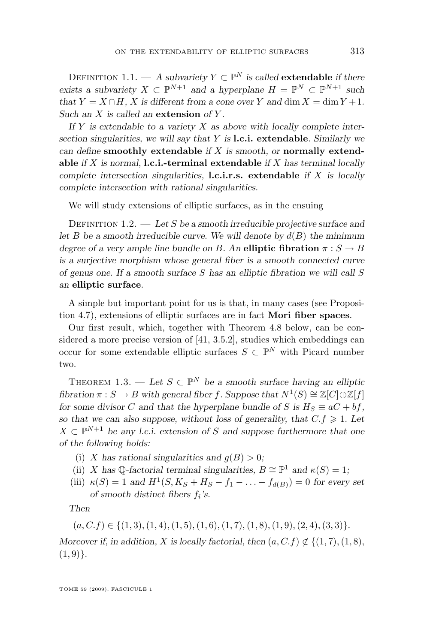<span id="page-3-0"></span>DEFINITION 1.1. — A subvariety  $Y \subset \mathbb{P}^N$  is called **extendable** if there *exists a subvariety*  $X \subset \mathbb{P}^{N+1}$  *and a hyperplane*  $H = \mathbb{P}^N \subset \mathbb{P}^{N+1}$  *such that*  $Y = X \cap H$ *, X is different from a cone over* Y *and* dim  $X = \dim Y + 1$ *. Such an* X *is called an* **extension** *of* Y *.*

*If* Y *is extendable to a variety* X *as above with locally complete intersection singularities, we will say that* Y *is* **l.c.i. extendable***. Similarly we can define* **smoothly extendable** *if* X *is smooth, or* **normally extendable** *if* X *is normal,* **l.c.i.-terminal extendable** *if* X *has terminal locally complete intersection singularities,* **l.c.i.r.s. extendable** *if* X *is locally complete intersection with rational singularities.*

We will study extensions of elliptic surfaces, as in the ensuing

Definition 1.2. — *Let* S *be a smooth irreducible projective surface and let* B *be a smooth irreducible curve. We will denote by*  $d(B)$  *the minimum degree of a very ample line bundle on* B. An **elliptic fibration**  $\pi : S \to B$ *is a surjective morphism whose general fiber is a smooth connected curve of genus one. If a smooth surface* S *has an elliptic fibration we will call* S *an* **elliptic surface***.*

A simple but important point for us is that, in many cases (see Proposition [4.7\)](#page-18-0), extensions of elliptic surfaces are in fact **Mori fiber spaces**.

Our first result, which, together with Theorem [4.8](#page-19-0) below, can be considered a more precise version of [\[41,](#page-35-0) 3.5.2], studies which embeddings can occur for some extendable elliptic surfaces  $S \subset \mathbb{P}^N$  with Picard number two.

THEOREM 1.3. — Let  $S \subset \mathbb{P}^N$  be a smooth surface having an elliptic *fibration*  $\pi : S \to B$  *with general fiber f. Suppose that*  $N^1(S) \cong \mathbb{Z}[C] \oplus \mathbb{Z}[f]$ *for some divisor* C and that the hyperplane bundle of S is  $H_S \equiv aC + bf$ , *so that we can also suppose, without loss of generality, that*  $C.f \geq 1$ *. Let*  $X \subset \mathbb{P}^{N+1}$  be any *l.c.i.* extension of S and suppose furthermore that one *of the following holds:*

- (i) X has rational singularities and  $g(B) > 0$ ;
- (ii) X has Q-factorial terminal singularities,  $B \cong \mathbb{P}^1$  and  $\kappa(S) = 1$ ;
- (iii)  $\kappa(S) = 1$  and  $H^1(S, K_S + H_S f_1 \ldots f_{d(B)}) = 0$  for every set *of smooth distinct fibers* f<sup>i</sup> *'s.*

*Then*

$$
(a, C.f) \in \{(1,3), (1,4), (1,5), (1,6), (1,7), (1,8), (1,9), (2,4), (3,3)\}.
$$

*Moreover if, in addition,* X *is locally factorial, then*  $(a, C, f) \notin \{(1, 7), (1, 8),\}$  $(1, 9)$ .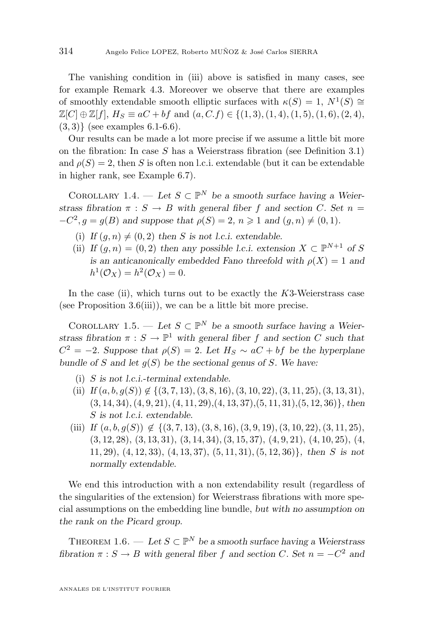<span id="page-4-0"></span>The vanishing condition in (iii) above is satisfied in many cases, see for example Remark [4.3.](#page-15-0) Moreover we observe that there are examples of smoothly extendable smooth elliptic surfaces with  $\kappa(S) = 1, N^1(S) \cong$  $\mathbb{Z}[C] \oplus \mathbb{Z}[f], H_S \equiv aC + bf$  and  $(a, C, f) \in \{(1, 3), (1, 4), (1, 5), (1, 6), (2, 4),$  $(3, 3)$ } (see examples [6.1](#page-28-0)[-6.6\)](#page-29-0).

Our results can be made a lot more precise if we assume a little bit more on the fibration: In case  $S$  has a Weierstrass fibration (see Definition [3.1\)](#page-7-0) and  $\rho(S) = 2$ , then S is often non l.c.i. extendable (but it can be extendable in higher rank, see Example [6.7\)](#page-30-0).

COROLLARY 1.4. — Let  $S \subset \mathbb{P}^N$  be a smooth surface having a Weier*strass fibration*  $\pi : S \to B$  *with general fiber* f *and section* C. Set  $n =$  $-C^2, g = g(B)$  and suppose that  $\rho(S) = 2, n \ge 1$  and  $(g, n) \ne (0, 1)$ *.* 

- (i) *If*  $(q, n) \neq (0, 2)$  *then S is not l.c.i.* extendable.
- (ii) *If*  $(g, n) = (0, 2)$  *then any possible l.c.i. extension*  $X \subset \mathbb{P}^{N+1}$  *of* S *is an anticanonically embedded Fano threefold with*  $\rho(X) = 1$  *and*  $h^1(\mathcal{O}_X) = h^2(\mathcal{O}_X) = 0.$

In the case (ii), which turns out to be exactly the  $K3$ -Weierstrass case (see Proposition [3.6\(](#page-7-0)iii)), we can be a little bit more precise.

COROLLARY 1.5. — Let  $S \subset \mathbb{P}^N$  be a smooth surface having a Weier*strass fibration*  $\pi : S \to \mathbb{P}^1$  *with general fiber* f and *section* C *such that*  $C^2 = -2$ *.* Suppose that  $\rho(S) = 2$ *. Let*  $H_S \sim aC + bf$  be the hyperplane *bundle of* S *and let* g(S) *be the sectional genus of* S*. We have:*

- (i) S *is not l.c.i.-terminal extendable.*
- (ii) *If*  $(a, b, q(S)) \notin \{(3, 7, 13), (3, 8, 16), (3, 10, 22), (3, 11, 25), (3, 13, 31),$ (3, 14, 34),(4, 9, 21),(4, 11, 29),(4, 13, 37),(5, 11, 31),(5, 12, 36)}*, then* S *is not l.c.i. extendable.*
- (iii) *If*  $(a, b, q(S)) \notin \{(3, 7, 13), (3, 8, 16), (3, 9, 19), (3, 10, 22), (3, 11, 25),$  $(3, 12, 28), (3, 13, 31), (3, 14, 34), (3, 15, 37), (4, 9, 21), (4, 10, 25), (4, 11, 25)$ 11, 29), (4, 12, 33), (4, 13, 37), (5, 11, 31),(5, 12, 36)}*, then* S *is not normally extendable.*

We end this introduction with a non extendability result (regardless of the singularities of the extension) for Weierstrass fibrations with more special assumptions on the embedding line bundle, *but with no assumption on the rank on the Picard group*.

THEOREM 1.6. — Let  $S \subset \mathbb{P}^N$  be a smooth surface having a Weierstrass *fibration*  $\pi : S \to B$  *with general fiber* f and section C. Set  $n = -C^2$  and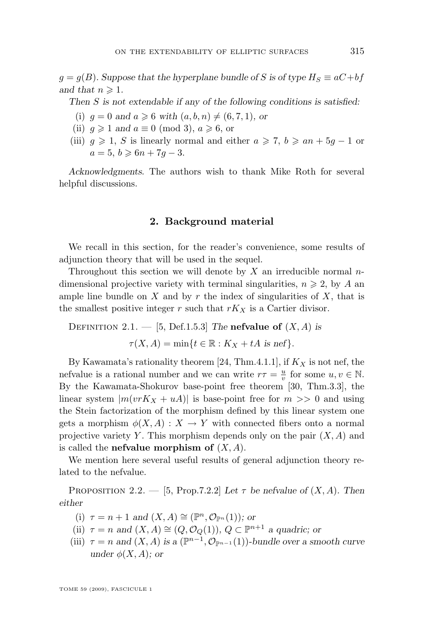<span id="page-5-0"></span> $g = g(B)$ *. Suppose that the hyperplane bundle of* S is of type  $H_S \equiv aC + bf$ *and that*  $n \geqslant 1$ *.* 

*Then* S *is not extendable if any of the following conditions is satisfied:*

- (i)  $q = 0$  and  $a \ge 6$  with  $(a, b, n) \ne (6, 7, 1)$ *, or*
- (ii)  $q \geq 1$  *and*  $a \equiv 0 \pmod{3}$ ,  $a \geq 6$ , or
- (iii)  $g \geq 1$ , S is linearly normal and either  $a \geq 7$ ,  $b \geq an + 5g 1$  or  $a = 5, b \ge 6n + 7q - 3.$

*Acknowledgments*. The authors wish to thank Mike Roth for several helpful discussions.

#### **2. Background material**

We recall in this section, for the reader's convenience, some results of adjunction theory that will be used in the sequel.

Throughout this section we will denote by  $X$  an irreducible normal  $n$ dimensional projective variety with terminal singularities,  $n \geq 2$ , by A an ample line bundle on  $X$  and by  $r$  the index of singularities of  $X$ , that is the smallest positive integer r such that  $rK_X$  is a Cartier divisor.

DEFINITION 2.1.  $-$  [\[5,](#page-34-0) Def.1.5.3] *The* **nefvalue of**  $(X, A)$  *is* 

 $\tau(X, A) = \min\{t \in \mathbb{R} : K_X + tA \text{ is nef}\}.$ 

By Kawamata's rationality theorem [\[24,](#page-34-0) Thm.4.1.1], if  $K_X$  is not nef, the nefvalue is a rational number and we can write  $r\tau = \frac{u}{v}$  for some  $u, v \in \mathbb{N}$ . By the Kawamata-Shokurov base-point free theorem [\[30,](#page-35-0) Thm.3.3], the linear system  $|m(vrK_X + uA)|$  is base-point free for  $m >> 0$  and using the Stein factorization of the morphism defined by this linear system one gets a morphism  $\phi(X, A) : X \to Y$  with connected fibers onto a normal projective variety Y. This morphism depends only on the pair  $(X, A)$  and is called the **nefvalue morphism of** (X, A).

We mention here several useful results of general adjunction theory related to the nefvalue.

PROPOSITION 2.2. — [\[5,](#page-34-0) Prop.7.2.2] Let  $\tau$  be nefvalue of  $(X, A)$ . Then *either*

- (i)  $\tau = n + 1$  and  $(X, A) \cong (\mathbb{P}^n, \mathcal{O}_{\mathbb{P}^n}(1))$ *; or*
- (ii)  $\tau = n$  and  $(X, A) \cong (Q, \mathcal{O}_Q(1)), Q \subset \mathbb{P}^{n+1}$  a quadric; or
- (iii)  $\tau = n$  and  $(X, A)$  is a  $(\mathbb{P}^{n-1}, \mathcal{O}_{\mathbb{P}^{n-1}}(1))$ *-bundle over a smooth curve under*  $\phi(X, A)$ *; or*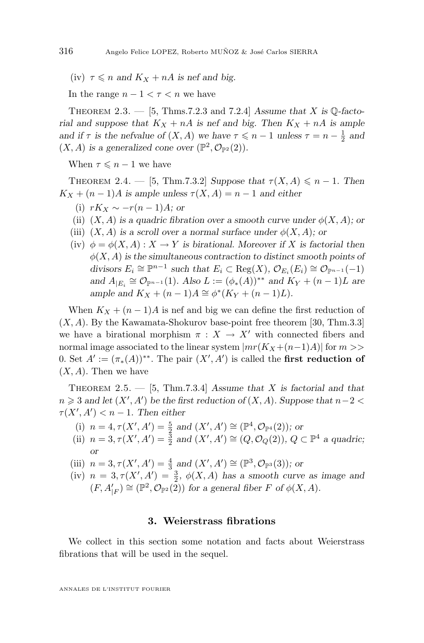<span id="page-6-0"></span>(iv)  $\tau \leq n$  and  $K_X + nA$  is nef and big.

In the range  $n - 1 < \tau < n$  we have

THEOREM 2.3.  $-$  [\[5,](#page-34-0) Thms.7.2.3 and 7.2.4] *Assume that* X is  $\mathbb{Q}$ -facto*rial and suppose that*  $K_X + nA$  *is nef and big. Then*  $K_X + nA$  *is ample and if*  $\tau$  *is the nefvalue of*  $(X, A)$  *we have*  $\tau \leq n - 1$  *unless*  $\tau = n - \frac{1}{2}$  *and*  $(X, A)$  is a generalized cone over  $(\mathbb{P}^2, \mathcal{O}_{\mathbb{P}^2}(2)).$ 

When  $\tau \leqslant n-1$  we have

THEOREM 2.4. — [\[5,](#page-34-0) Thm.7.3.2] *Suppose that*  $\tau(X, A) \leq n - 1$ *. Then*  $K_X + (n-1)A$  is ample unless  $\tau(X, A) = n-1$  and either

- (i)  $rK_X \sim -r(n-1)A$ *; or*
- (ii)  $(X, A)$  *is a quadric fibration over a smooth curve under*  $\phi(X, A)$ *; or*
- (iii)  $(X, A)$  *is a scroll over a normal surface under*  $\phi(X, A)$ *; or*
- (iv)  $\phi = \phi(X, A) : X \to Y$  *is birational. Moreover if* X *is factorial then*  $\phi(X, A)$  *is the simultaneous contraction to distinct smooth points of* divisors  $E_i \cong \mathbb{P}^{n-1}$  such that  $E_i \subset \text{Reg}(X)$ ,  $\mathcal{O}_{E_i}(E_i) \cong \mathcal{O}_{\mathbb{P}^{n-1}}(-1)$ *and*  $A_{|E_i} \cong \mathcal{O}_{\mathbb{P}^{n-1}}(1)$ *. Also*  $L := (\phi_*(A))^{**}$  *and*  $K_Y + (n-1)L$  *are ample and*  $K_X + (n-1)A \cong \phi^*(K_Y + (n-1)L)$ *.*

When  $K_X + (n-1)A$  is nef and big we can define the first reduction of  $(X, A)$ . By the Kawamata-Shokurov base-point free theorem [\[30,](#page-35-0) Thm.3.3] we have a birational morphism  $\pi : X \to X'$  with connected fibers and normal image associated to the linear system  $|mr(K_X+(n-1)A)|$  for  $m>>$ 0. Set  $A' := (\pi_*(A))^{**}$ . The pair  $(X', A')$  is called the **first reduction of**  $(X, A)$ . Then we have

Theorem 2.5. — [\[5,](#page-34-0) Thm.7.3.4] *Assume that* X *is factorial and that*  $n \geq 3$  and let  $(X', A')$  be the first reduction of  $(X, A)$ *.* Suppose that  $n-2 <$  $\tau(X', A') < n - 1$ . Then either

- (i)  $n = 4, \tau(X', A') = \frac{5}{2}$  and  $(X', A') \cong (\mathbb{P}^4, \mathcal{O}_{\mathbb{P}^4}(2))$ ; or
- (ii)  $n = 3, \tau(X', A') = \frac{3}{2}$  and  $(X', A') \cong (Q, \mathcal{O}_Q(2)), Q \subset \mathbb{P}^4$  a quadric; *or*
- (iii)  $n = 3, \tau(X', A') = \frac{4}{3}$  and  $(X', A') \cong (\mathbb{P}^3, \mathcal{O}_{\mathbb{P}^3}(3))$ ; or
- (iv)  $n = 3, \tau(X', A') = \frac{3}{2}, \phi(X, A)$  has a smooth curve as image and  $(F, A'_{|F}) \cong (\mathbb{P}^2, \mathcal{O}_{\mathbb{P}^2}(2))$  for a general fiber F of  $\phi(X, A)$ .

#### **3. Weierstrass fibrations**

We collect in this section some notation and facts about Weierstrass fibrations that will be used in the sequel.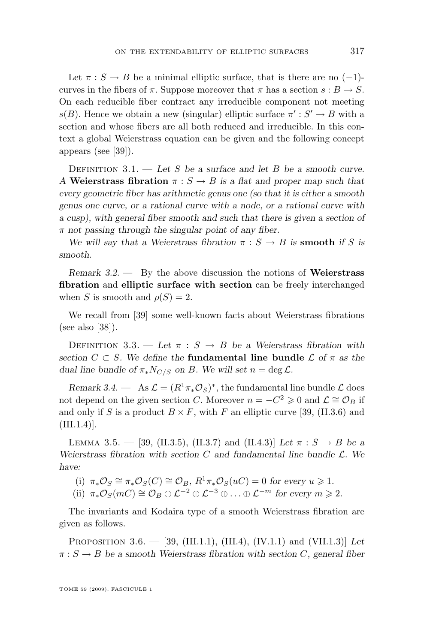<span id="page-7-0"></span>Let  $\pi : S \to B$  be a minimal elliptic surface, that is there are no (-1)curves in the fibers of  $\pi$ . Suppose moreover that  $\pi$  has a section  $s : B \to S$ . On each reducible fiber contract any irreducible component not meeting  $s(B)$ . Hence we obtain a new (singular) elliptic surface  $\pi': S' \to B$  with a section and whose fibers are all both reduced and irreducible. In this context a global Weierstrass equation can be given and the following concept appears (see [\[39\]](#page-35-0)).

Definition 3.1. — *Let* S *be a surface and let* B *be a smooth curve. A* **Weierstrass fibration**  $\pi : S \to B$  *is a flat and proper map such that every geometric fiber has arithmetic genus one (so that it is either a smooth genus one curve, or a rational curve with a node, or a rational curve with a cusp), with general fiber smooth and such that there is given a section of* π *not passing through the singular point of any fiber.*

*We will say that a Weierstrass fibration*  $\pi : S \to B$  *is* **smooth** *if* S *is smooth.*

*Remark 3.2. —* By the above discussion the notions of **Weierstrass fibration** and **elliptic surface with section** can be freely interchanged when S is smooth and  $\rho(S) = 2$ .

We recall from [\[39\]](#page-35-0) some well-known facts about Weierstrass fibrations (see also [\[38\]](#page-35-0)).

DEFINITION 3.3. — Let  $\pi : S \rightarrow B$  be a Weierstrass fibration with *section*  $C \subset S$ *. We define the* **fundamental line bundle**  $\mathcal{L}$  *of*  $\pi$  *as the dual line bundle of*  $\pi_* N_{C/S}$  *on B.* We will set  $n = \deg \mathcal{L}$ .

*Remark 3.4.* — As  $\mathcal{L} = (R^1 \pi_* \mathcal{O}_S)^*$ , the fundamental line bundle  $\mathcal{L}$  does not depend on the given section C. Moreover  $n = -C^2 \geq 0$  and  $\mathcal{L} \cong \mathcal{O}_B$  if and only if S is a product  $B \times F$ , with F an elliptic curve [\[39,](#page-35-0) (II.3.6) and  $(III.1.4)$ ].

LEMMA 3.5. — [\[39,](#page-35-0) (II.3.5), (II.3.7) and (II.4.3)] *Let*  $\pi : S \to B$  *be a Weierstrass fibration with section* C *and fundamental line bundle* L*. We have:*

(i)  $\pi_* \mathcal{O}_S \cong \pi_* \mathcal{O}_S(C) \cong \mathcal{O}_B$ ,  $R^1 \pi_* \mathcal{O}_S(uC) = 0$  for every  $u \geq 1$ .

(ii)  $\pi_*\mathcal{O}_S(mC) \cong \mathcal{O}_B \oplus \mathcal{L}^{-2} \oplus \mathcal{L}^{-3} \oplus \ldots \oplus \mathcal{L}^{-m}$  for every  $m \ge 2$ .

The invariants and Kodaira type of a smooth Weierstrass fibration are given as follows.

Proposition 3.6. — [\[39,](#page-35-0) (III.1.1), (III.4), (IV.1.1) and (VII.1.3)] *Let*  $\pi : S \to B$  be a smooth Weierstrass fibration with section C, general fiber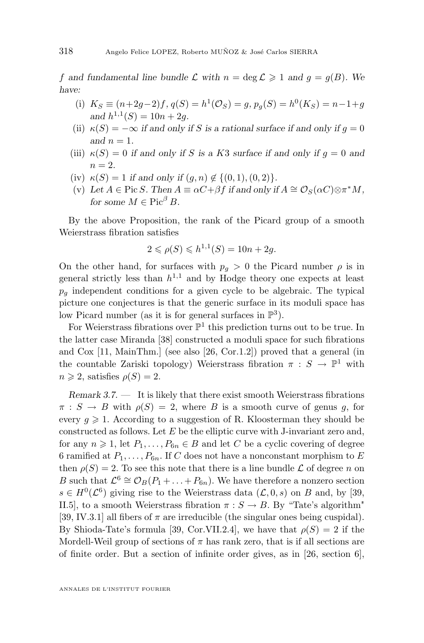f and fundamental line bundle L with  $n = \deg \mathcal{L} \geq 1$  and  $g = g(B)$ . We *have:*

- (i)  $K_S \equiv (n+2g-2)f, q(S) = h^1(\mathcal{O}_S) = g, p_g(S) = h^0(K_S) = n-1+g$ and  $h^{1,1}(S) = 10n + 2g$ .
- (ii)  $\kappa(S) = -\infty$  *if and only if* S *is a rational surface if and only if*  $g = 0$ and  $n = 1$ .
- (iii)  $\kappa(S) = 0$  *if and only if* S *is a* K3 *surface if and only if*  $g = 0$  *and*  $n = 2.$
- (iv)  $\kappa(S) = 1$  *if and only if*  $(q, n) \notin \{(0, 1), (0, 2)\}.$
- (v) Let  $A \in \text{Pic } S$ . Then  $A \equiv \alpha C + \beta f$  if and only if  $A \cong \mathcal{O}_S(\alpha C) \otimes \pi^* M$ , *for some*  $M \in Pic^{\beta} B$ .

By the above Proposition, the rank of the Picard group of a smooth Weierstrass fibration satisfies

$$
2 \leq \rho(S) \leq h^{1,1}(S) = 10n + 2g.
$$

On the other hand, for surfaces with  $p_q > 0$  the Picard number  $\rho$  is in general strictly less than  $h^{1,1}$  and by Hodge theory one expects at least  $p_q$  independent conditions for a given cycle to be algebraic. The typical picture one conjectures is that the generic surface in its moduli space has low Picard number (as it is for general surfaces in  $\mathbb{P}^3$ ).

For Weierstrass fibrations over  $\mathbb{P}^1$  this prediction turns out to be true. In the latter case Miranda [\[38\]](#page-35-0) constructed a moduli space for such fibrations and Cox [\[11,](#page-34-0) MainThm.] (see also [\[26,](#page-34-0) Cor.1.2]) proved that a general (in the countable Zariski topology) Weierstrass fibration  $\pi : S \to \mathbb{P}^1$  with  $n \geqslant 2$ , satisfies  $\rho(S) = 2$ .

*Remark 3.7. —* It is likely that there exist smooth Weierstrass fibrations  $\pi : S \to B$  with  $\rho(S) = 2$ , where B is a smooth curve of genus g, for every  $q \geq 1$ . According to a suggestion of R. Kloosterman they should be constructed as follows. Let  $E$  be the elliptic curve with J-invariant zero and, for any  $n \geq 1$ , let  $P_1, \ldots, P_{6n} \in B$  and let C be a cyclic covering of degree 6 ramified at  $P_1, \ldots, P_{6n}$ . If C does not have a nonconstant morphism to E then  $\rho(S) = 2$ . To see this note that there is a line bundle L of degree n on B such that  $\mathcal{L}^6 \cong \mathcal{O}_B(P_1 + ... + P_{6n})$ . We have therefore a nonzero section  $s \in H^0(\mathcal{L}^6)$  giving rise to the Weierstrass data  $(\mathcal{L}, 0, s)$  on B and, by [\[39,](#page-35-0) II.5], to a smooth Weierstrass fibration  $\pi : S \to B$ . By "Tate's algorithm" [\[39,](#page-35-0) IV.3.1] all fibers of  $\pi$  are irreducible (the singular ones being cuspidal). By Shioda-Tate's formula [\[39,](#page-35-0) Cor.VII.2.4], we have that  $\rho(S) = 2$  if the Mordell-Weil group of sections of  $\pi$  has rank zero, that is if all sections are of finite order. But a section of infinite order gives, as in [\[26,](#page-34-0) section 6],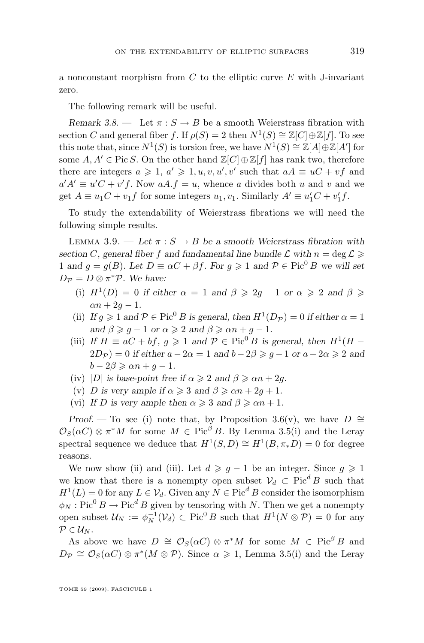<span id="page-9-0"></span>a nonconstant morphism from  $C$  to the elliptic curve  $E$  with J-invariant zero.

The following remark will be useful.

*Remark 3.8.* — Let  $\pi : S \to B$  be a smooth Weierstrass fibration with section C and general fiber f. If  $\rho(S) = 2$  then  $N^1(S) \cong \mathbb{Z}[C] \oplus \mathbb{Z}[f]$ . To see this note that, since  $N^1(S)$  is torsion free, we have  $N^1(S) \cong \mathbb{Z}[A] \oplus \mathbb{Z}[A']$  for some  $A, A' \in \text{Pic } S$ . On the other hand  $\mathbb{Z}[C] \oplus \mathbb{Z}[f]$  has rank two, therefore there are integers  $a \geq 1$ ,  $a' \geq 1$ ,  $u, v, u', v'$  such that  $aA \equiv uC + vf$  and  $a'A' \equiv u'C + v'f$ . Now  $aA.f = u$ , whence a divides both u and v and we get  $A \equiv u_1 C + v_1 f$  for some integers  $u_1, v_1$ . Similarly  $A' \equiv u_1' C + v_1' f$ .

To study the extendability of Weierstrass fibrations we will need the following simple results.

LEMMA 3.9. — Let  $\pi : S \to B$  be a smooth Weierstrass fibration with *section* C, general fiber f and fundamental line bundle  $\mathcal{L}$  with  $n = \deg \mathcal{L} \geq$ 1 and  $g = g(B)$ *. Let*  $D \equiv \alpha C + \beta f$ *. For*  $g \ge 1$  and  $\mathcal{P} \in \text{Pic}^0 B$  we will set  $D_{\mathcal{P}} = D \otimes \pi^* \mathcal{P}$ *. We have:* 

- (i)  $H^1(D) = 0$  if either  $\alpha = 1$  and  $\beta \geq 2g 1$  or  $\alpha \geq 2$  and  $\beta \geq 1$  $\alpha n + 2q - 1.$
- (ii) *If*  $g \ge 1$  *and*  $P \in Pic^0 B$  *is general, then*  $H^1(D_P) = 0$  *if either*  $\alpha = 1$ *and*  $\beta \geqslant q - 1$  *or*  $\alpha \geqslant 2$  *and*  $\beta \geqslant \alpha n + q - 1$ *.*
- (iii) If  $H \equiv aC + bf$ ,  $g \ge 1$  and  $\mathcal{P} \in \text{Pic}^0 B$  is general, then  $H^1(H (2D_{\mathcal{P}}) = 0$  *if either*  $a - 2\alpha = 1$  *and*  $b - 2\beta \geq g - 1$  *or*  $a - 2\alpha \geq 2$  *and*  $b - 2\beta \geq \alpha n + q - 1.$
- (iv) |D| *is base-point free if*  $\alpha \geq 2$  *and*  $\beta \geq \alpha n + 2g$ .
- (v) D is very ample if  $\alpha \geq 3$  and  $\beta \geq \alpha n + 2q + 1$ .
- (vi) If D is very ample then  $\alpha \geqslant 3$  and  $\beta \geqslant \alpha n + 1$ .

*Proof.* — To see (i) note that, by Proposition [3.6\(](#page-7-0)v), we have  $D \cong$  $\mathcal{O}_S(\alpha C) \otimes \pi^*M$  for some  $M \in \operatorname{Pic}^{\beta} B$ . By Lemma [3.5\(](#page-7-0)i) and the Leray spectral sequence we deduce that  $H^1(S, D) \cong H^1(B, \pi_* D) = 0$  for degree reasons.

We now show (ii) and (iii). Let  $d \geq g - 1$  be an integer. Since  $g \geq 1$ we know that there is a nonempty open subset  $\mathcal{V}_d \subset \text{Pic}^d B$  such that  $H^1(L) = 0$  for any  $L \in \mathcal{V}_d$ . Given any  $N \in \text{Pic}^d B$  consider the isomorphism  $\phi_N : Pic^0 B \to Pic^d B$  given by tensoring with N. Then we get a nonempty open subset  $\mathcal{U}_N := \phi_N^{-1}(\mathcal{V}_d) \subset \text{Pic}^0 B$  such that  $H^1(N \otimes \mathcal{P}) = 0$  for any  $P\in\mathcal{U}_N$ .

As above we have  $D \cong \mathcal{O}_S(\alpha C) \otimes \pi^*M$  for some  $M \in Pic^{\beta}B$  and  $D_{\mathcal{P}} \cong \mathcal{O}_{S}(\alpha C) \otimes \pi^*(M \otimes \mathcal{P})$ . Since  $\alpha \geq 1$ , Lemma [3.5\(](#page-7-0)i) and the Leray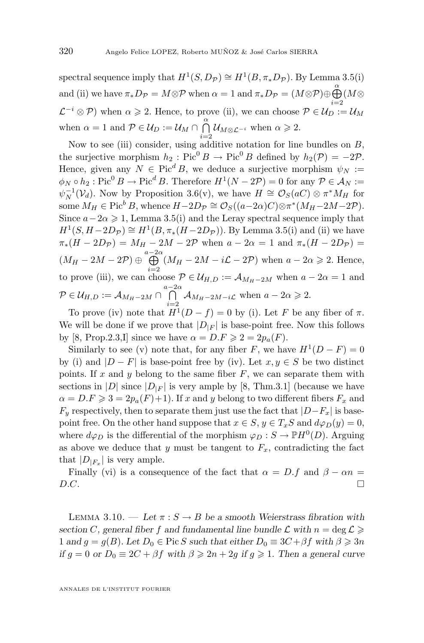<span id="page-10-0"></span>spectral sequence imply that  $H^1(S, D_{\mathcal{P}}) \cong H^1(B, \pi_* D_{\mathcal{P}})$ . By Lemma [3.5\(](#page-7-0)i) and (ii) we have  $\pi_* D_{\mathcal{P}} = M \otimes \mathcal{P}$  when  $\alpha = 1$  and  $\pi_* D_{\mathcal{P}} = (M \otimes \mathcal{P}) \oplus \bigoplus^{\alpha} (M \otimes$  $\mathcal{L}^{-i}\otimes \mathcal{P}$ ) when  $\alpha\geqslant 2$ . Hence, to prove (ii), we can choose  $\mathcal{P}\in\mathcal{U}_D:=\mathcal{U}_M$ when  $\alpha = 1$  and  $\mathcal{P} \in \mathcal{U}_D := \mathcal{U}_M \cap \bigcap_{\alpha=1}^{\alpha} \mathcal{U}_{M \otimes \mathcal{L}^{-i}}$  when  $\alpha \geq 2$ .

Now to see (iii) consider, using additive notation for line bundles on  $B$ , the surjective morphism  $h_2$ : Pic<sup>0</sup> B → Pic<sup>0</sup> B defined by  $h_2(\mathcal{P}) = -2\mathcal{P}$ . Hence, given any  $N \in Pic^d B$ , we deduce a surjective morphism  $\psi_N :=$  $\phi_N \circ h_2 : \text{Pic}^0 B \to \text{Pic}^d B$ . Therefore  $H^1(N - 2\mathcal{P}) = 0$  for any  $\mathcal{P} \in \mathcal{A}_N :=$  $\psi_N^{-1}(\mathcal{V}_d)$ . Now by Proposition [3.6\(](#page-7-0)v), we have  $H \cong \mathcal{O}_S(aC) \otimes \pi^* M_H$  for some  $M_H \in \text{Pic}^b B$ , whence  $H - 2D_{\mathcal{P}} \cong \mathcal{O}_S((a-2\alpha)C) \otimes \pi^*(M_H - 2M - 2\mathcal{P})$ . Since  $a-2\alpha \geq 1$ , Lemma [3.5\(](#page-7-0)i) and the Leray spectral sequence imply that  $H^1(S, H - 2D_{\mathcal{P}}) \cong H^1(B, \pi_*(H - 2D_{\mathcal{P}})).$  By Lemma [3.5\(](#page-7-0)i) and (ii) we have  $\pi_*(H - 2D_{\mathcal{P}}) = M_H - 2M - 2\mathcal{P}$  when  $a - 2\alpha = 1$  and  $\pi_*(H - 2D_{\mathcal{P}}) =$  $(M_H - 2M - 2P) \oplus \bigoplus^{a-2\alpha}$  $\bigoplus_{i=2}^{\infty} (M_H - 2M - i\mathcal{L} - 2\mathcal{P})$  when  $a - 2\alpha \geq 2$ . Hence, to prove (iii), we can choose  $\mathcal{P} \in \mathcal{U}_{H,D} := \mathcal{A}_{M_H-2M}$  when  $a - 2\alpha = 1$  and  $\mathcal{P} \in \mathcal{U}_{H,D} := \mathcal{A}_{M_H-2M} \cap \bigcap^{a-2\alpha}$  $\bigcap_{i=2}^{\infty}$   $\mathcal{A}_{M_H-2M-i\mathcal{L}}$  when  $a-2\alpha \geqslant 2$ .

To prove (iv) note that  $H^1(D - f) = 0$  by (i). Let F be any fiber of  $\pi$ . We will be done if we prove that  $|D_{|F}|$  is base-point free. Now this follows by [\[8,](#page-34-0) Prop.2.3,I] since we have  $\alpha = D.F \geq 2 = 2p_a(F)$ .

Similarly to see (v) note that, for any fiber F, we have  $H^1(D - F) = 0$ by (i) and  $|D - F|$  is base-point free by (iv). Let  $x, y \in S$  be two distinct points. If x and y belong to the same fiber  $F$ , we can separate them with sections in |D| since  $|D_{|F}|$  is very ample by [\[8,](#page-34-0) Thm.3.1] (because we have  $\alpha = D.F \geq 3 = 2p_a(F)+1$ . If x and y belong to two different fibers  $F_x$  and  $F_y$  respectively, then to separate them just use the fact that  $|D-F_x|$  is basepoint free. On the other hand suppose that  $x \in S$ ,  $y \in T_xS$  and  $d\varphi_D(y) = 0$ , where  $d\varphi_D$  is the differential of the morphism  $\varphi_D : S \to \mathbb{P}H^0(D)$ . Arguing as above we deduce that y must be tangent to  $F_x$ , contradicting the fact that  $|D_{|F_x}|$  is very ample.

Finally (vi) is a consequence of the fact that  $\alpha = D.f$  and  $\beta - \alpha n =$  $D.C.$ 

LEMMA 3.10. — Let  $\pi : S \to B$  be a smooth Weierstrass fibration with *section* C, general fiber f and fundamental line bundle  $\mathcal{L}$  with  $n = \deg \mathcal{L} \geq$ 1 and  $g = g(B)$ . Let  $D_0 \in \text{Pic } S$  *such that either*  $D_0 \equiv 3C + \beta f$  *with*  $\beta \geq 3n$ *if*  $g = 0$  *or*  $D_0 \equiv 2C + \beta f$  *with*  $\beta \geq 2n + 2g$  *if*  $g \geq 1$ *. Then a general curve*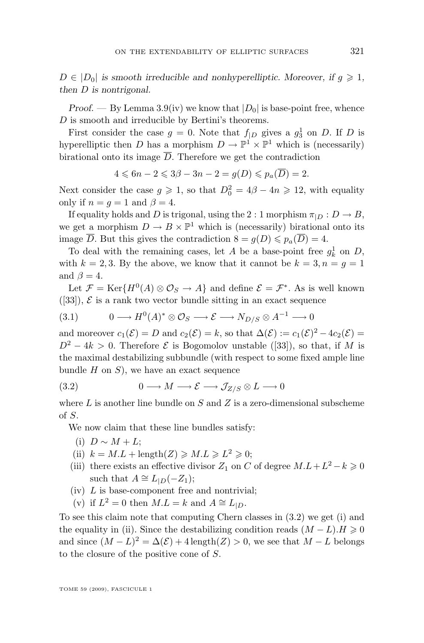<span id="page-11-0"></span> $D \in |D_0|$  is smooth irreducible and nonhyperelliptic. Moreover, if  $g \geq 1$ , *then* D *is nontrigonal.*

*Proof.* — By Lemma [3.9\(](#page-9-0)iv) we know that  $|D_0|$  is base-point free, whence D is smooth and irreducible by Bertini's theorems.

First consider the case  $g = 0$ . Note that  $f_{|D}$  gives a  $g_3^1$  on D. If D is hyperelliptic then D has a morphism  $D \to \mathbb{P}^1 \times \mathbb{P}^1$  which is (necessarily) birational onto its image  $\overline{D}$ . Therefore we get the contradiction

$$
4 \leqslant 6n - 2 \leqslant 3\beta - 3n - 2 = g(D) \leqslant p_a(\overline{D}) = 2.
$$

Next consider the case  $g \geq 1$ , so that  $D_0^2 = 4\beta - 4n \geq 12$ , with equality only if  $n = q = 1$  and  $\beta = 4$ .

If equality holds and D is trigonal, using the 2 : 1 morphism  $\pi_{|D} : D \to B$ , we get a morphism  $D \to B \times \mathbb{P}^1$  which is (necessarily) birational onto its image  $\overline{D}$ . But this gives the contradiction  $8 = g(D) \leq p_a(\overline{D}) = 4$ .

To deal with the remaining cases, let A be a base-point free  $g_k^1$  on D, with  $k = 2, 3$ . By the above, we know that it cannot be  $k = 3, n = g = 1$ and  $\beta = 4$ .

Let  $\mathcal{F} = \text{Ker}\{H^0(A) \otimes \mathcal{O}_S \to A\}$  and define  $\mathcal{E} = \mathcal{F}^*$ . As is well known  $([33]), \mathcal{E}$  $([33]), \mathcal{E}$  $([33]), \mathcal{E}$  is a rank two vector bundle sitting in an exact sequence

$$
(3.1) \t 0 \longrightarrow H^0(A)^* \otimes \mathcal{O}_S \longrightarrow \mathcal{E} \longrightarrow N_{D/S} \otimes A^{-1} \longrightarrow 0
$$

and moreover  $c_1(\mathcal{E}) = D$  and  $c_2(\mathcal{E}) = k$ , so that  $\Delta(\mathcal{E}) := c_1(\mathcal{E})^2 - 4c_2(\mathcal{E}) =$  $D^2 - 4k > 0$ . Therefore  $\mathcal E$  is Bogomolov unstable ([\[33\]](#page-35-0)), so that, if M is the maximal destabilizing subbundle (with respect to some fixed ample line bundle  $H$  on  $S$ ), we have an exact sequence

(3.2) 
$$
0 \longrightarrow M \longrightarrow \mathcal{E} \longrightarrow \mathcal{J}_{Z/S} \otimes L \longrightarrow 0
$$

where  $L$  is another line bundle on  $S$  and  $Z$  is a zero-dimensional subscheme of S.

We now claim that these line bundles satisfy:

- (i)  $D \sim M + L$ ;
- (ii)  $k = M.L + \text{length}(Z) \geq M.L \geq L^2 \geq 0;$
- (iii) there exists an effective divisor  $Z_1$  on C of degree  $M.L+L^2-k \geq 0$ such that  $A \cong L_{|D}(-Z_1);$
- $(iv)$  L is base-component free and nontrivial;
- (v) if  $L^2 = 0$  then  $M.L = k$  and  $A \cong L_{|D}$ .

To see this claim note that computing Chern classes in (3.2) we get (i) and the equality in (ii). Since the destabilizing condition reads  $(M - L)H \geq 0$ and since  $(M - L)^2 = \Delta(\mathcal{E}) + 4 \operatorname{length}(Z) > 0$ , we see that  $M - L$  belongs to the closure of the positive cone of S.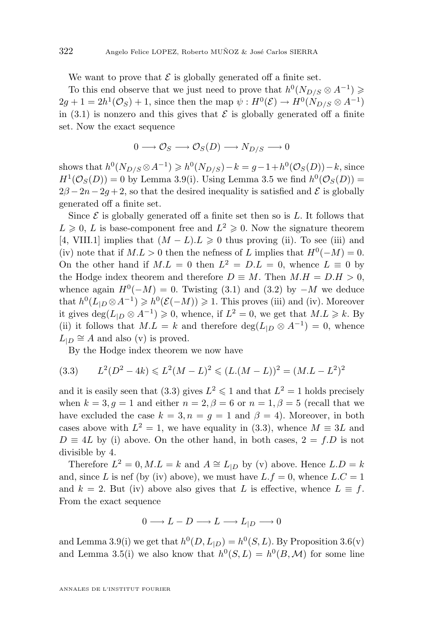We want to prove that  $\mathcal E$  is globally generated off a finite set.

To this end observe that we just need to prove that  $h^0(N_{D/S} \otimes A^{-1}) \geqslant$  $2g + 1 = 2h^1(\mathcal{O}_S) + 1$ , since then the map  $\psi : H^0(\mathcal{E}) \to H^0(N_{D/S} \otimes A^{-1})$ in [\(3.1\)](#page-11-0) is nonzero and this gives that  $\mathcal E$  is globally generated off a finite set. Now the exact sequence

$$
0 \longrightarrow \mathcal{O}_S \longrightarrow \mathcal{O}_S(D) \longrightarrow N_{D/S} \longrightarrow 0
$$

shows that  $h^0(N_{D/S} \otimes A^{-1}) \geq h^0(N_{D/S}) - k = g - 1 + h^0(\mathcal{O}_S(D)) - k$ , since  $H^1(\mathcal{O}_S(D)) = 0$  by Lemma [3.9\(](#page-9-0)i). Using Lemma [3.5](#page-7-0) we find  $h^0(\mathcal{O}_S(D)) =$  $2\beta - 2n - 2q + 2$ , so that the desired inequality is satisfied and E is globally generated off a finite set.

Since  $\mathcal E$  is globally generated off a finite set then so is  $L$ . It follows that  $L \geqslant 0, L$  is base-component free and  $L^2 \geqslant 0$ . Now the signature theorem [\[4,](#page-33-0) VIII.1] implies that  $(M - L) L \geq 0$  thus proving (ii). To see (iii) and (iv) note that if  $M.L > 0$  then the nefness of L implies that  $H^0(-M) = 0$ . On the other hand if  $M.L = 0$  then  $L^2 = D.L = 0$ , whence  $L \equiv 0$  by the Hodge index theorem and therefore  $D \equiv M$ . Then  $M.H = D.H > 0$ , whence again  $H^0(-M) = 0$ . Twisting [\(3.1\)](#page-11-0) and [\(3.2\)](#page-11-0) by  $-M$  we deduce that  $h^0(L_{|D} \otimes A^{-1}) \geq h^0(\mathcal{E}(-M)) \geq 1$ . This proves (iii) and (iv). Moreover it gives  $\deg(L_{|D} \otimes A^{-1}) \geq 0$ , whence, if  $L^2 = 0$ , we get that  $M.L \geq k$ . By (ii) it follows that  $M.L = k$  and therefore  $deg(L_{|D} \otimes A^{-1}) = 0$ , whence  $L_{|D} \cong A$  and also (v) is proved.

By the Hodge index theorem we now have

$$
(3.3) \qquad L^2(D^2 - 4k) \leq L^2(M - L)^2 \leq (L(M - L))^2 = (M.L - L^2)^2
$$

and it is easily seen that (3.3) gives  $L^2 \leq 1$  and that  $L^2 = 1$  holds precisely when  $k = 3, q = 1$  and either  $n = 2, \beta = 6$  or  $n = 1, \beta = 5$  (recall that we have excluded the case  $k = 3, n = g = 1$  and  $\beta = 4$ ). Moreover, in both cases above with  $L^2 = 1$ , we have equality in (3.3), whence  $M \equiv 3L$  and  $D \equiv 4L$  by (i) above. On the other hand, in both cases,  $2 = f.D$  is not divisible by 4.

Therefore  $L^2 = 0, M.L = k$  and  $A \cong L_{|D}$  by (v) above. Hence  $L.D = k$ and, since L is nef (by (iv) above), we must have  $L.f = 0$ , whence  $L.C = 1$ and  $k = 2$ . But (iv) above also gives that L is effective, whence  $L \equiv f$ . From the exact sequence

$$
0 \longrightarrow L - D \longrightarrow L \longrightarrow L_{|D} \longrightarrow 0
$$

and Lemma [3.9\(](#page-9-0)i) we get that  $h^0(D, L_{|D}) = h^0(S, L)$ . By Proposition [3.6\(](#page-7-0)v) and Lemma [3.5\(](#page-7-0)i) we also know that  $h^0(S, L) = h^0(B, \mathcal{M})$  for some line

ANNALES DE L'INSTITUT FOURIER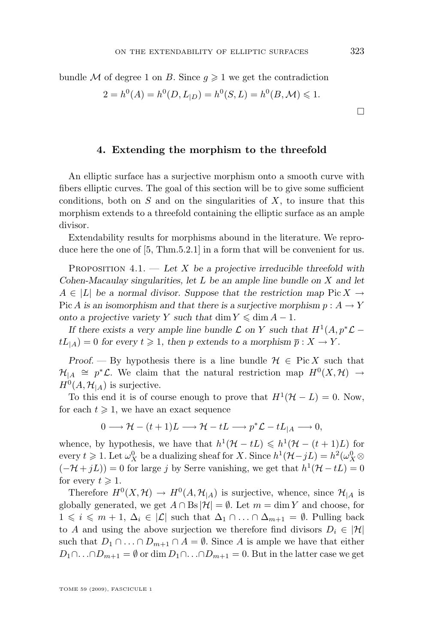<span id="page-13-0"></span>bundle M of degree 1 on B. Since  $g \geq 1$  we get the contradiction

$$
2 = h^{0}(A) = h^{0}(D, L_{|D}) = h^{0}(S, L) = h^{0}(B, \mathcal{M}) \leq 1.
$$

#### **4. Extending the morphism to the threefold**

An elliptic surface has a surjective morphism onto a smooth curve with fibers elliptic curves. The goal of this section will be to give some sufficient conditions, both on  $S$  and on the singularities of  $X$ , to insure that this morphism extends to a threefold containing the elliptic surface as an ample divisor.

Extendability results for morphisms abound in the literature. We reproduce here the one of [\[5,](#page-34-0) Thm.5.2.1] in a form that will be convenient for us.

Proposition 4.1. — *Let* X *be a projective irreducible threefold with Cohen-Macaulay singularities, let* L *be an ample line bundle on* X *and let*  $A \in |L|$  be a normal divisor. Suppose that the restriction map Pic  $X \to$ Pic A is an isomorphism and that there is a surjective morphism  $p: A \to Y$ *onto a projective variety* Y *such that* dim  $Y \leq \dim A - 1$ .

*If there exists a very ample line bundle*  $\mathcal L$  *on* Y *such that*  $H^1(A, p^*\mathcal L$  $tL_{\vert A}$  = 0 for every  $t \geq 1$ , then p extends to a morphism  $\overline{p} : X \to Y$ .

*Proof.* — By hypothesis there is a line bundle  $\mathcal{H} \in \text{Pic } X$  such that  $\mathcal{H}_{|A} \cong p^*\mathcal{L}$ . We claim that the natural restriction map  $H^0(X,\mathcal{H}) \to$  $H^0(A, \mathcal{H}_{|A})$  is surjective.

To this end it is of course enough to prove that  $H^1(\mathcal{H}-L)=0$ . Now, for each  $t \geqslant 1$ , we have an exact sequence

$$
0 \longrightarrow \mathcal{H} - (t+1)L \longrightarrow \mathcal{H} - tL \longrightarrow p^*\mathcal{L} - tL_{|A} \longrightarrow 0,
$$

whence, by hypothesis, we have that  $h^1(\mathcal{H}-tL) \leq h^1(\mathcal{H}-(t+1)L)$  for every  $t \geq 1$ . Let  $\omega_X^0$  be a dualizing sheaf for X. Since  $h^1(\mathcal{H} - jL) = h^2(\omega_X^0 \otimes$  $(-\mathcal{H} + jL)$  = 0 for large j by Serre vanishing, we get that  $h^1(\mathcal{H} - tL) = 0$ for every  $t \geqslant 1$ .

Therefore  $H^0(X, \mathcal{H}) \to H^0(A, \mathcal{H}_{|A})$  is surjective, whence, since  $\mathcal{H}_{|A}$  is globally generated, we get  $A \cap \text{Bs}|\mathcal{H}| = \emptyset$ . Let  $m = \dim Y$  and choose, for  $1 \leq i \leq m+1, \Delta_i \in |\mathcal{L}|$  such that  $\Delta_1 \cap \ldots \cap \Delta_{m+1} = \emptyset$ . Pulling back to A and using the above surjection we therefore find divisors  $D_i \in |\mathcal{H}|$ such that  $D_1 \cap ... \cap D_{m+1} \cap A = \emptyset$ . Since A is ample we have that either  $D_1 \cap \ldots \cap D_{m+1} = \emptyset$  or dim  $D_1 \cap \ldots \cap D_{m+1} = 0$ . But in the latter case we get

TOME 59 (2009), FASCICULE 1

 $\Box$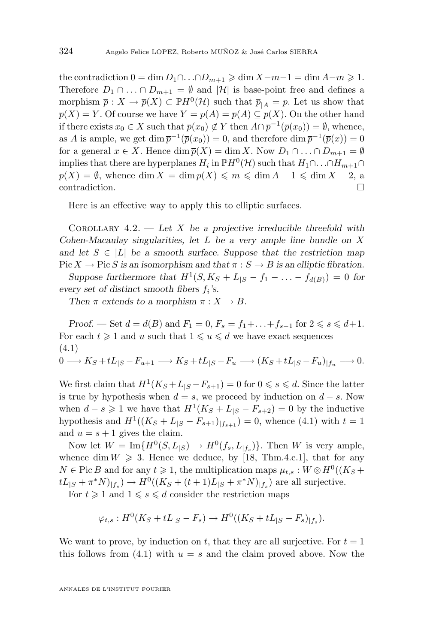<span id="page-14-0"></span>the contradiction  $0 = \dim D_1 \cap \ldots \cap D_{m+1} \geq \dim X - m - 1 = \dim A - m \geq 1$ . Therefore  $D_1 \cap ... \cap D_{m+1} = \emptyset$  and  $|\mathcal{H}|$  is base-point free and defines a morphism  $\bar{p}: X \to \bar{p}(X) \subset \mathbb{P}H^0(\mathcal{H})$  such that  $\bar{p}_{|A} = p$ . Let us show that  $\overline{p}(X) = Y$ . Of course we have  $Y = p(A) = \overline{p}(A) \subseteq \overline{p}(X)$ . On the other hand if there exists  $x_0 \in X$  such that  $\overline{p}(x_0) \notin Y$  then  $A \cap \overline{p}^{-1}(\overline{p}(x_0)) = \emptyset$ , whence, as A is ample, we get  $\dim \overline{p}^{-1}(\overline{p}(x_0)) = 0$ , and therefore  $\dim \overline{p}^{-1}(\overline{p}(x)) = 0$ for a general  $x \in X$ . Hence  $\dim \overline{p}(X) = \dim X$ . Now  $D_1 \cap \ldots \cap D_{m+1} = \emptyset$ implies that there are hyperplanes  $H_i$  in  $\mathbb{P}H^0(\mathcal{H})$  such that  $H_1 \cap \ldots \cap H_{m+1} \cap$  $\overline{p}(X) = \emptyset$ , whence dim  $X = \dim \overline{p}(X) \leq m \leq \dim A - 1 \leq \dim X - 2$ , a contradiction.

Here is an effective way to apply this to elliptic surfaces.

Corollary 4.2. — *Let* X *be a projective irreducible threefold with Cohen-Macaulay singularities, let* L *be a very ample line bundle on* X and let  $S \in |L|$  be a smooth surface. Suppose that the restriction map Pic  $X \to \text{Pic } S$  *is an isomorphism and that*  $\pi : S \to B$  *is an elliptic fibration.* 

*Suppose furthermore that*  $H^1(S, K_S + L_{|S} - f_1 - \ldots - f_{d(B)}) = 0$  *for* every set of distinct smooth fibers  $f_i$ 's.

*Then*  $\pi$  *extends to a morphism*  $\overline{\pi}: X \to B$ *.* 

*Proof.* — Set  $d = d(B)$  and  $F_1 = 0$ ,  $F_s = f_1 + ... + f_{s-1}$  for  $2 \le s \le d+1$ . For each  $t \geq 1$  and u such that  $1 \leq u \leq d$  we have exact sequences (4.1)  $0 \longrightarrow K_S + tL_{|S} - F_{u+1} \longrightarrow K_S + tL_{|S} - F_u \longrightarrow (K_S + tL_{|S} - F_u)_{|f_u} \longrightarrow 0.$ 

We first claim that  $H^1(K_S + L_{|S} - F_{s+1}) = 0$  for  $0 \le s \le d$ . Since the latter is true by hypothesis when  $d = s$ , we proceed by induction on  $d - s$ . Now when  $d - s \geq 1$  we have that  $H^1(K_S + L_{|S} - F_{s+2}) = 0$  by the inductive hypothesis and  $H^1((K_S + L_{|S} - F_{s+1})_{|f_{s+1}}) = 0$ , whence (4.1) with  $t = 1$ and  $u = s + 1$  gives the claim.

Now let  $W = \text{Im}\{H^0(S, L_{|S}) \to H^0(f_s, L_{|f_s})\}$ . Then W is very ample, whence dim  $W \ge 3$ . Hence we deduce, by [\[18,](#page-34-0) Thm.4.e.1], that for any  $N \in \text{Pic } B$  and for any  $t \geqslant 1$ , the multiplication maps  $\mu_{t,s}: W \otimes H^0((K_S +$  $tL_{|S} + \pi^* N|_{|f_s}) \to H^0((K_S + (t+1)L_{|S} + \pi^* N)|_{f_s})$  are all surjective.

For  $t \geq 1$  and  $1 \leq s \leq d$  consider the restriction maps

$$
\varphi_{t,s}: H^0(K_S + tL_{|S} - F_s) \to H^0((K_S + tL_{|S} - F_s)_{|f_s}).
$$

We want to prove, by induction on t, that they are all surjective. For  $t = 1$ this follows from  $(4.1)$  with  $u = s$  and the claim proved above. Now the

ANNALES DE L'INSTITUT FOURIER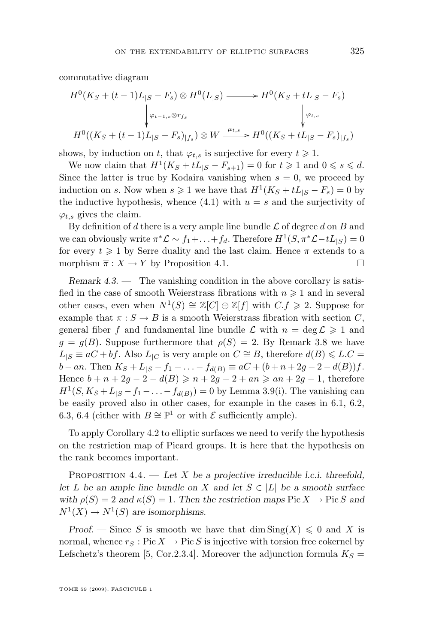<span id="page-15-0"></span>commutative diagram

$$
H^{0}(K_{S} + (t-1)L_{|S} - F_{s}) \otimes H^{0}(L_{|S}) \longrightarrow H^{0}(K_{S} + tL_{|S} - F_{s})
$$
  

$$
\downarrow \varphi_{t-1,s} \otimes r_{f_{s}} \qquad \qquad \downarrow \varphi_{t,s}
$$
  

$$
H^{0}((K_{S} + (t-1)L_{|S} - F_{s})_{|f_{s}}) \otimes W \xrightarrow{\mu_{t,s}} H^{0}((K_{S} + tL_{|S} - F_{s})_{|f_{s}})
$$

shows, by induction on t, that  $\varphi_{t,s}$  is surjective for every  $t \geq 1$ .

We now claim that  $H^1(K_S + tL_{|S} - F_{s+1}) = 0$  for  $t \ge 1$  and  $0 \le s \le d$ . Since the latter is true by Kodaira vanishing when  $s = 0$ , we proceed by induction on s. Now when  $s \geq 1$  we have that  $H^1(K_S + tL_{|S} - F_s) = 0$  by the inductive hypothesis, whence [\(4.1\)](#page-14-0) with  $u = s$  and the surjectivity of  $\varphi_{t,s}$  gives the claim.

By definition of d there is a very ample line bundle  $\mathcal L$  of degree d on B and we can obviously write  $\pi^* \mathcal{L} \sim f_1 + \ldots + f_d$ . Therefore  $H^1(S, \pi^* \mathcal{L} - tL_{|S}) = 0$ for every  $t \geq 1$  by Serre duality and the last claim. Hence  $\pi$  extends to a morphism  $\overline{\pi}: X \to Y$  by Proposition [4.1.](#page-13-0)

*Remark 4.3.* — The vanishing condition in the above corollary is satisfied in the case of smooth Weierstrass fibrations with  $n \geq 1$  and in several other cases, even when  $N^1(S) \cong \mathbb{Z}[C] \oplus \mathbb{Z}[f]$  with  $C.f \geq 2$ . Suppose for example that  $\pi : S \to B$  is a smooth Weierstrass fibration with section C, general fiber f and fundamental line bundle  $\mathcal L$  with  $n = \deg \mathcal L \geq 1$  and  $g = g(B)$ . Suppose furthermore that  $\rho(S) = 2$ . By Remark [3.8](#page-9-0) we have  $L_{|S} \equiv aC + bf$ . Also  $L_{|C}$  is very ample on  $C \cong B$ , therefore  $d(B) \leq L.C$  $b - an$ . Then  $K_S + L_{|S} - f_1 - \ldots - f_{d(B)} \equiv aC + (b + n + 2g - 2 - d(B))f$ . Hence  $b + n + 2g - 2 - d(B) \geq n + 2g - 2 + an \geq an + 2g - 1$ , therefore  $H^1(S, K_S + L_{|S} - f_1 - \ldots - f_{d(B)}) = 0$  by Lemma [3.9\(](#page-9-0)i). The vanishing can be easily proved also in other cases, for example in the cases in [6.1,](#page-28-0) [6.2,](#page-28-0) [6.3,](#page-29-0) [6.4](#page-29-0) (either with  $B \cong \mathbb{P}^1$  or with  $\mathcal E$  sufficiently ample).

To apply Corollary [4.2](#page-14-0) to elliptic surfaces we need to verify the hypothesis on the restriction map of Picard groups. It is here that the hypothesis on the rank becomes important.

Proposition 4.4. — *Let* X *be a projective irreducible l.c.i. threefold, let* L *be an ample line bundle on* X and let  $S \in |L|$  *be a smooth surface with*  $\rho(S) = 2$  *and*  $\kappa(S) = 1$ *. Then the restriction maps* Pic  $X \to Pic S$  *and*  $N^1(X) \to N^1(S)$  are isomorphisms.

*Proof.* — Since S is smooth we have that  $\dim Sing(X) \leq 0$  and X is normal, whence  $r_S : Pic X \to Pic S$  is injective with torsion free cokernel by Lefschetz's theorem [\[5,](#page-34-0) Cor.2.3.4]. Moreover the adjunction formula  $K_S =$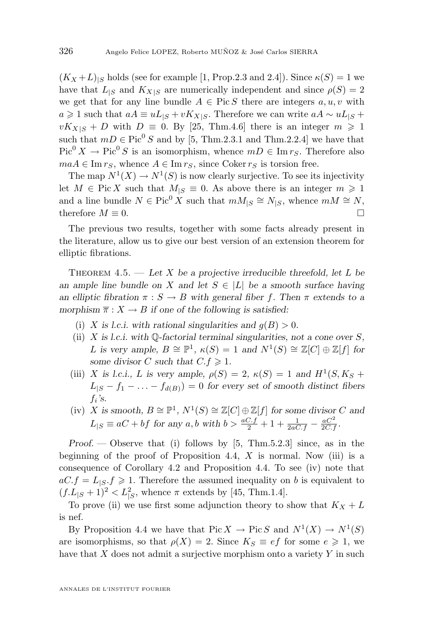<span id="page-16-0"></span> $(K_X+L)_{\text{S}}$  holds (see for example [\[1,](#page-33-0) Prop.2.3 and 2.4]). Since  $\kappa(S) = 1$  we have that  $L_{|S}$  and  $K_{X|S}$  are numerically independent and since  $\rho(S) = 2$ we get that for any line bundle  $A \in Pic S$  there are integers  $a, u, v$  with  $a \geq 1$  such that  $aA \equiv uL_{|S} + vK_{X|S}$ . Therefore we can write  $aA \sim uL_{|S}$  +  $vK_{X|S} + D$  with  $D \equiv 0$ . By [\[25,](#page-34-0) Thm.4.6] there is an integer  $m \ge 1$ such that  $mD \in Pic^0 S$  and by [\[5,](#page-34-0) Thm.2.3.1 and Thm.2.2.4] we have that  $Pic^{0} X \to Pic^{0} S$  is an isomorphism, whence  $mD \in \text{Im } r_S$ . Therefore also  $maA \in \text{Im } r_S$ , whence  $A \in \text{Im } r_S$ , since Coker  $r_S$  is torsion free.

The map  $N^1(X) \to N^1(S)$  is now clearly surjective. To see its injectivity let  $M \in Pic X$  such that  $M_{|S} \equiv 0$ . As above there is an integer  $m \geq 1$ and a line bundle  $N \in Pic^0 X$  such that  $mM_{|S} \cong N_{|S}$ , whence  $mM \cong N$ , therefore  $M \equiv 0$ .

The previous two results, together with some facts already present in the literature, allow us to give our best version of an extension theorem for elliptic fibrations.

Theorem 4.5. — *Let* X *be a projective irreducible threefold, let* L *be an ample line bundle on* X *and let*  $S \in |L|$  *be a smooth surface having an elliptic fibration*  $\pi : S \to B$  *with general fiber* f. Then  $\pi$  *extends to a morphism*  $\overline{\pi}: X \to B$  *if one of the following is satisfied:* 

- (i) X is *l.c.i.* with rational singularities and  $q(B) > 0$ .
- (ii) X *is l.c.i. with* Q*-factorial terminal singularities, not a cone over* S*,* L is very ample,  $B \cong \mathbb{P}^1$ ,  $\kappa(S) = 1$  and  $N^1(S) \cong \mathbb{Z}[C] \oplus \mathbb{Z}[f]$  for *some divisor* C *such that*  $C.f \geq 1$ *.*
- (iii) X is l.c.i., L is very ample,  $\rho(S) = 2$ ,  $\kappa(S) = 1$  and  $H^1(S, K_S +$  $L_{|S} - f_1 - \ldots - f_{d(B)}) = 0$  for every set of smooth distinct fibers fi *'s.*
- (iv) X is smooth,  $B \cong \mathbb{P}^1$ ,  $N^1(S) \cong \mathbb{Z}[C] \oplus \mathbb{Z}[f]$  for some divisor C and  $L_{|S} \equiv aC + bf$  for any  $a, b$  with  $b > \frac{aC \cdot f}{2} + 1 + \frac{1}{2aC \cdot f} - \frac{aC^2}{2C \cdot f}$ .

*Proof. —* Observe that (i) follows by [\[5,](#page-34-0) Thm.5.2.3] since, as in the beginning of the proof of Proposition [4.4,](#page-15-0)  $X$  is normal. Now (iii) is a consequence of Corollary [4.2](#page-14-0) and Proposition [4.4.](#page-15-0) To see (iv) note that  $aC.f = L<sub>1S</sub>. f \ge 1$ . Therefore the assumed inequality on b is equivalent to  $(f.L_{|S} + 1)^2 < L_{|S}^2$ , whence  $\pi$  extends by [\[45,](#page-35-0) Thm.1.4].

To prove (ii) we use first some adjunction theory to show that  $K_X + L$ is nef.

By Proposition [4.4](#page-15-0) we have that  $Pic X \to Pic S$  and  $N^1(X) \to N^1(S)$ are isomorphisms, so that  $\rho(X) = 2$ . Since  $K_S \equiv ef$  for some  $e \geq 1$ , we have that  $X$  does not admit a surjective morphism onto a variety  $Y$  in such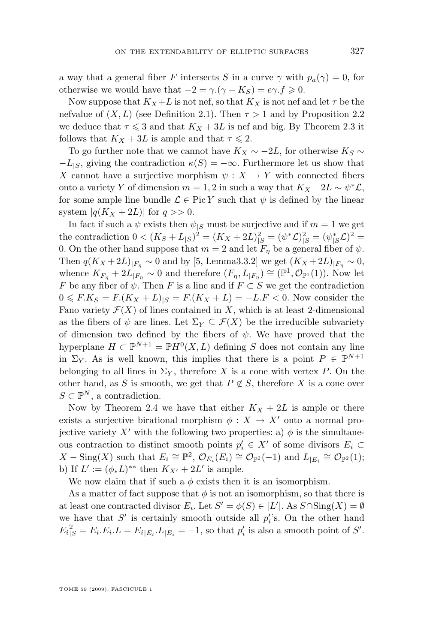a way that a general fiber F intersects S in a curve  $\gamma$  with  $p_a(\gamma) = 0$ , for otherwise we would have that  $-2 = \gamma \cdot (\gamma + K_S) = e \gamma \cdot f \geq 0$ .

Now suppose that  $K_X+L$  is not nef, so that  $K_X$  is not nef and let  $\tau$  be the nefvalue of  $(X, L)$  (see Definition [2.1\)](#page-5-0). Then  $\tau > 1$  and by Proposition [2.2](#page-5-0) we deduce that  $\tau \leq 3$  and that  $K_X + 3L$  is nef and big. By Theorem [2.3](#page-6-0) it follows that  $K_X + 3L$  is ample and that  $\tau \leq 2$ .

To go further note that we cannot have  $K_X \sim -2L$ , for otherwise  $K_S \sim$  $-L_{|S}$ , giving the contradiction  $\kappa(S) = -\infty$ . Furthermore let us show that X cannot have a surjective morphism  $\psi: X \to Y$  with connected fibers onto a variety Y of dimension  $m = 1, 2$  in such a way that  $K_X + 2L \sim \psi^* \mathcal{L}$ , for some ample line bundle  $\mathcal{L} \in \text{Pic } Y$  such that  $\psi$  is defined by the linear system  $|q(K_X+2L)|$  for  $q >> 0$ .

In fact if such a  $\psi$  exists then  $\psi_{|S}$  must be surjective and if  $m = 1$  we get the contradiction  $0 < (K_S + L_{|S})^2 = (K_X + 2L)_{|S}^2 = (\psi^* \mathcal{L})_{|S}^2 = (\psi^* \mathcal{L})^2 =$ 0. On the other hand suppose that  $m = 2$  and let  $F_{\eta}$  be a general fiber of  $\psi$ . Then  $q(K_X + 2L)_{|F_n} \sim 0$  and by [\[5,](#page-34-0) Lemma3.3.2] we get  $(K_X + 2L)_{|F_n} \sim 0$ , whence  $K_{F_{\eta}} + 2L_{|F_{\eta}} \sim 0$  and therefore  $(F_{\eta}, L_{|F_{\eta}}) \cong (\mathbb{P}^1, \mathcal{O}_{\mathbb{P}^1}(1))$ . Now let F be any fiber of  $\psi$ . Then F is a line and if  $F \subset S$  we get the contradiction  $0 \le F.K_S = F.(K_X + L)_{|S} = F.(K_X + L) = -L.F < 0$ . Now consider the Fano variety  $\mathcal{F}(X)$  of lines contained in X, which is at least 2-dimensional as the fibers of  $\psi$  are lines. Let  $\Sigma_Y \subseteq \mathcal{F}(X)$  be the irreducible subvariety of dimension two defined by the fibers of  $\psi$ . We have proved that the hyperplane  $H \subset \mathbb{P}^{N+1} = \mathbb{P}H^0(X, L)$  defining S does not contain any line in  $\Sigma_Y$ . As is well known, this implies that there is a point  $P \in \mathbb{P}^{N+1}$ belonging to all lines in  $\Sigma_Y$ , therefore X is a cone with vertex P. On the other hand, as S is smooth, we get that  $P \notin S$ , therefore X is a cone over  $S \subset \mathbb{P}^N$ , a contradiction.

Now by Theorem [2.4](#page-6-0) we have that either  $K_X + 2L$  is ample or there exists a surjective birational morphism  $\phi: X \to X'$  onto a normal projective variety X' with the following two properties: a)  $\phi$  is the simultaneous contraction to distinct smooth points  $p'_i \in X'$  of some divisors  $E_i \subset$  $X-\text{Sing}(X)$  such that  $E_i \cong \mathbb{P}^2$ ,  $\mathcal{O}_{E_i}(E_i) \cong \mathcal{O}_{\mathbb{P}^2}(-1)$  and  $L_{|E_i} \cong \mathcal{O}_{\mathbb{P}^2}(1)$ ; b) If  $L' := (\phi_* L)^{**}$  then  $K_{X'} + 2L'$  is ample.

We now claim that if such a  $\phi$  exists then it is an isomorphism.

As a matter of fact suppose that  $\phi$  is not an isomorphism, so that there is at least one contracted divisor  $E_i$ . Let  $S' = \phi(S) \in |L'|$ . As  $S \cap \text{Sing}(X) = \emptyset$ we have that  $S'$  is certainly smooth outside all  $p_i$ 's. On the other hand  $E_i^2 = E_i.E_i.L = E_i|_{E_i}.L_{|E_i} = -1$ , so that  $p'_i$  is also a smooth point of S'.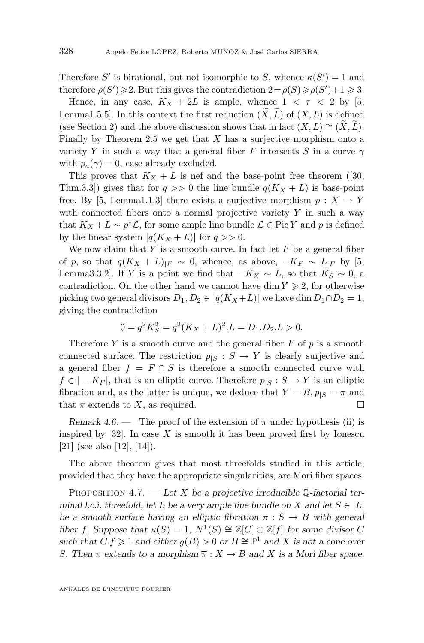<span id="page-18-0"></span>Therefore S' is birational, but not isomorphic to S, whence  $\kappa(S') = 1$  and therefore  $\rho(S') \geq 2$ . But this gives the contradiction  $2 = \rho(S) \geq \rho(S') + 1 \geq 3$ .

Hence, in any case,  $K_X + 2L$  is ample, whence  $1 < \tau < 2$  by [\[5,](#page-34-0) Lemma1.5.5]. In this context the first reduction  $(X, L)$  of  $(X, L)$  is defined (see Section [2\)](#page-5-0) and the above discussion shows that in fact  $(X, L) \cong (X, L)$ . Finally by Theorem [2.5](#page-6-0) we get that  $X$  has a surjective morphism onto a variety Y in such a way that a general fiber F intersects S in a curve  $\gamma$ with  $p_a(\gamma) = 0$ , case already excluded.

This proves that  $K_X + L$  is nef and the base-point free theorem ([\[30,](#page-35-0) Thm.3.3) gives that for  $q \gg 0$  the line bundle  $q(K_X + L)$  is base-point free. By [\[5,](#page-34-0) Lemma1.1.3] there exists a surjective morphism  $p : X \to Y$ with connected fibers onto a normal projective variety  $Y$  in such a way that  $K_X + L \sim p^* \mathcal{L}$ , for some ample line bundle  $\mathcal{L} \in \text{Pic } Y$  and p is defined by the linear system  $|q(K_X + L)|$  for  $q >> 0$ .

We now claim that Y is a smooth curve. In fact let  $F$  be a general fiber of p, so that  $q(K_X + L)|_F \sim 0$ , whence, as above,  $-K_F \sim L|_F$  by [\[5,](#page-34-0) Lemma3.3.2]. If Y is a point we find that  $-K_X \sim L$ , so that  $K_S \sim 0$ , a contradiction. On the other hand we cannot have dim  $Y \geq 2$ , for otherwise picking two general divisors  $D_1, D_2 \in |q(K_X+L)|$  we have dim  $D_1 \cap D_2 = 1$ , giving the contradiction

$$
0 = q^2 K_S^2 = q^2 (K_X + L)^2 . L = D_1 . D_2 . L > 0.
$$

Therefore Y is a smooth curve and the general fiber  $F$  of  $p$  is a smooth connected surface. The restriction  $p_{|S}: S \to Y$  is clearly surjective and a general fiber  $f = F \cap S$  is therefore a smooth connected curve with  $f \in |-K_F|$ , that is an elliptic curve. Therefore  $p_{|S}: S \to Y$  is an elliptic fibration and, as the latter is unique, we deduce that  $Y = B$ ,  $p_{|S} = \pi$  and that  $\pi$  extends to X, as required.

*Remark 4.6.* — The proof of the extension of  $\pi$  under hypothesis (ii) is inspired by  $[32]$ . In case X is smooth it has been proved first by Ionescu [\[21\]](#page-34-0) (see also [\[12\]](#page-34-0), [\[14\]](#page-34-0)).

The above theorem gives that most threefolds studied in this article, provided that they have the appropriate singularities, are Mori fiber spaces.

Proposition 4.7. — *Let* X *be a projective irreducible* Q*-factorial terminal l.c.i. threefold, let* L *be a very ample line bundle on* X and let  $S \in |L|$ *be a smooth surface having an elliptic fibration*  $\pi : S \to B$  *with general fiber f. Suppose that*  $\kappa(S) = 1$ ,  $N^1(S) \cong \mathbb{Z}[C] \oplus \mathbb{Z}[f]$  *for some divisor* C *such that*  $C.f \geq 1$  *and either*  $g(B) > 0$  *or*  $B \cong \mathbb{P}^1$  *and* X *is not a cone over S*. Then  $\pi$  extends to a morphism  $\overline{\pi}: X \to B$  and X is a Mori fiber space.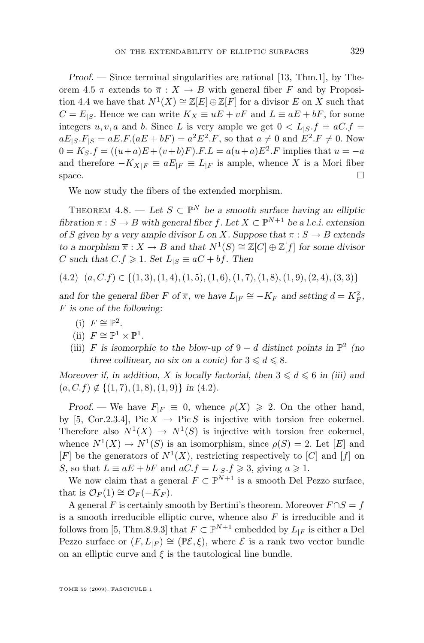<span id="page-19-0"></span>*Proof.* — Since terminal singularities are rational [\[13,](#page-34-0) Thm.1], by The-orem [4.5](#page-16-0)  $\pi$  extends to  $\overline{\pi}$  :  $X \to B$  with general fiber F and by Proposi-tion [4.4](#page-15-0) we have that  $N^1(X) \cong \mathbb{Z}[E] \oplus \mathbb{Z}[F]$  for a divisor E on X such that  $C = E_{|S}$ . Hence we can write  $K_X \equiv uE + vF$  and  $L \equiv aE + bF$ , for some integers u, v, a and b. Since L is very ample we get  $0 < L<sub>|S</sub>$ .  $f = aC$ .  $f =$  $aE_{|S}.F_{|S} = aE.F.(aE + bF) = a^2E^2.F$ , so that  $a \neq 0$  and  $E^2.F \neq 0$ . Now  $0 = K_S.f = ((u+a)E + (v+b)F) \cdot F.L = a(u+a)E^2 \cdot F$  implies that  $u = -a$ and therefore  $-K_{X|F} \equiv aE_{|F} \equiv L_{|F}$  is ample, whence X is a Mori fiber space.  $\Box$ 

We now study the fibers of the extended morphism.

THEOREM  $4.8.$  — Let  $S \subset \mathbb{P}^N$  be a smooth surface having an elliptic *fibration*  $\pi : S \to B$  *with general fiber f.* Let  $X \subset \mathbb{P}^{N+1}$  *be a l.c.i. extension of* S given by a very ample divisor L on X. Suppose that  $\pi : S \to B$  extends *to a morphism*  $\overline{\pi}: X \to B$  *and that*  $N^1(S) \cong \mathbb{Z}[C] \oplus \mathbb{Z}[f]$  *for some divisor* C such that  $C.f \geq 1$ . Set  $L_{|S} \equiv aC + bf$ . Then

 $(4.2)$   $(a, C, f) \in \{(1, 3), (1, 4), (1, 5), (1, 6), (1, 7), (1, 8), (1, 9), (2, 4), (3, 3)\}\$ 

*and for the general fiber*  $F$  *of*  $\overline{\pi}$ *, we have*  $L_{|F} \cong -K_F$  *and setting*  $d = K_F^2$ *,* F *is one of the following:*

- (i)  $F \cong \mathbb{P}^2$ .
- (ii)  $F \cong \mathbb{P}^1 \times \mathbb{P}^1$ .
- (iii) F is isomorphic to the blow-up of  $9 d$  distinct points in  $\mathbb{P}^2$  (no *three collinear, no six on a conic) for*  $3 \leq d \leq 8$ *.*

*Moreover if, in addition,* X is locally factorial, then  $3 \le d \le 6$  in (iii) and  $(a, C.f) \notin \{(1, 7), (1, 8), (1, 9)\}\$ in (4.2).

*Proof.* — We have  $F_{|F} \equiv 0$ , whence  $\rho(X) \geq 2$ . On the other hand, by [\[5,](#page-34-0) Cor.2.3.4], Pic  $X \to \text{Pic } S$  is injective with torsion free cokernel. Therefore also  $N^1(X) \to N^1(S)$  is injective with torsion free cokernel, whence  $N^1(X) \to N^1(S)$  is an isomorphism, since  $\rho(S) = 2$ . Let [E] and  $[F]$  be the generators of  $N^1(X)$ , restricting respectively to  $[C]$  and  $[f]$  on S, so that  $L \equiv aE + bF$  and  $aC.f = L<sub>|S</sub>.f \ge 3$ , giving  $a \ge 1$ .

We now claim that a general  $F \subset \mathbb{P}^{N+1}$  is a smooth Del Pezzo surface, that is  $\mathcal{O}_F(1) \cong \mathcal{O}_F(-K_F)$ .

A general F is certainly smooth by Bertini's theorem. Moreover  $F \cap S = f$ is a smooth irreducible elliptic curve, whence also  $F$  is irreducible and it follows from [\[5,](#page-34-0) Thm.8.9.3] that  $F \subset \mathbb{P}^{N+1}$  embedded by  $L_{|F}$  is either a Del Pezzo surface or  $(F, L_{|F}) \cong (\mathbb{P}{\mathcal{E}}, \xi)$ , where  $\mathcal E$  is a rank two vector bundle on an elliptic curve and  $\xi$  is the tautological line bundle.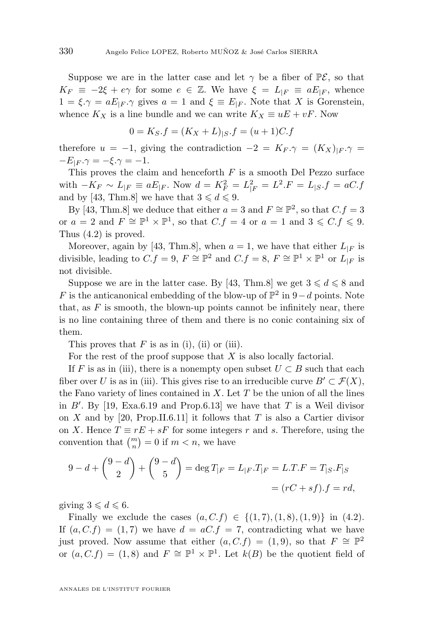Suppose we are in the latter case and let  $\gamma$  be a fiber of  $\mathbb{P}\mathcal{E}$ , so that  $K_F \equiv -2\xi + e\gamma$  for some  $e \in \mathbb{Z}$ . We have  $\xi = L_{|F|} \equiv aE_{|F|}$ , whence  $1 = \xi \cdot \gamma = aE_{\mid F} \cdot \gamma$  gives  $a = 1$  and  $\xi \equiv E_{\mid F}$ . Note that X is Gorenstein, whence  $K_X$  is a line bundle and we can write  $K_X \equiv uE + vF$ . Now

$$
0 = K_S.f = (K_X + L)_{|S}.f = (u + 1)C.f
$$

therefore  $u = -1$ , giving the contradiction  $-2 = K_F \gamma = (K_X)_{|F} \gamma =$  $-E_{|F} \cdot \gamma = -\xi \cdot \gamma = -1.$ 

This proves the claim and henceforth  $F$  is a smooth Del Pezzo surface with  $-K_F \sim L_{|F} \equiv aE_{|F}$ . Now  $d = K_F^2 = L_{|F}^2 = L^2.F = L_{|S}.f = aC.f$ and by [\[43,](#page-35-0) Thm.8] we have that  $3 \leq d \leq 9$ .

By [\[43,](#page-35-0) Thm.8] we deduce that either  $a = 3$  and  $F \cong \mathbb{P}^2$ , so that  $C.f = 3$ or  $a = 2$  and  $F \cong \mathbb{P}^1 \times \mathbb{P}^1$ , so that  $C.f = 4$  or  $a = 1$  and  $3 \leqslant C.f \leqslant 9$ . Thus [\(4.2\)](#page-19-0) is proved.

Moreover, again by [\[43,](#page-35-0) Thm.8], when  $a = 1$ , we have that either  $L_{|F}$  is divisible, leading to  $C.f = 9$ ,  $F \cong \mathbb{P}^2$  and  $C.f = 8$ ,  $F \cong \mathbb{P}^1 \times \mathbb{P}^1$  or  $L_{|F}$  is not divisible.

Suppose we are in the latter case. By [\[43,](#page-35-0) Thm.8] we get  $3 \le d \le 8$  and F is the anticanonical embedding of the blow-up of  $\mathbb{P}^2$  in  $9-d$  points. Note that, as  $F$  is smooth, the blown-up points cannot be infinitely near, there is no line containing three of them and there is no conic containing six of them.

This proves that  $F$  is as in (i), (ii) or (iii).

For the rest of the proof suppose that  $X$  is also locally factorial.

If F is as in (iii), there is a nonempty open subset  $U \subset B$  such that each fiber over U is as in (iii). This gives rise to an irreducible curve  $B' \subset \mathcal{F}(X)$ , the Fano variety of lines contained in  $X$ . Let  $T$  be the union of all the lines in  $B'$ . By [\[19,](#page-34-0) Exa.6.19 and Prop.6.13] we have that T is a Weil divisor on X and by [\[20,](#page-34-0) Prop.II.6.11] it follows that T is also a Cartier divisor on X. Hence  $T \equiv rE + sF$  for some integers r and s. Therefore, using the convention that  $\binom{m}{n} = 0$  if  $m < n$ , we have

$$
9 - d + {9 - d \choose 2} + {9 - d \choose 5} = \deg T_{|F} = L_{|F} \cdot T_{|F} = L \cdot T \cdot F = T_{|S} \cdot F_{|S}
$$

$$
= (rC + sf) \cdot f = rd,
$$

giving  $3 \leq d \leq 6$ .

Finally we exclude the cases  $(a, C, f) \in \{(1, 7), (1, 8), (1, 9)\}\$ in  $(4.2)$ . If  $(a, C.f) = (1, 7)$  we have  $d = aC.f = 7$ , contradicting what we have just proved. Now assume that either  $(a, C.f) = (1, 9)$ , so that  $F \cong \mathbb{P}^2$ or  $(a, C.f) = (1, 8)$  and  $F \cong \mathbb{P}^1 \times \mathbb{P}^1$ . Let  $k(B)$  be the quotient field of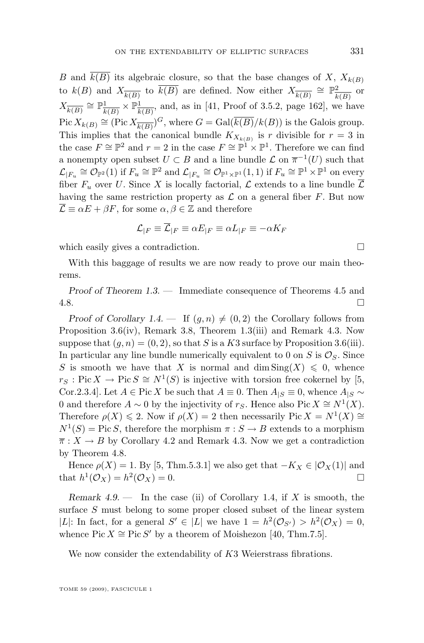<span id="page-21-0"></span>B and  $\overline{k(B)}$  its algebraic closure, so that the base changes of X,  $X_{k(B)}$ to  $k(B)$  and  $X_{\overline{k(B)}}$  to  $\overline{k(B)}$  are defined. Now either  $X_{\overline{k(B)}} \cong \mathbb{P}^2_{\overline{k}}$  $\frac{2}{k(B)}$  or  $X_{\overline{k(B)}} \cong \mathbb{P}^1_{\overline{k}}$  $\frac{1}{k(B)} \times \mathbb{P}_{\overline{k}}^1$  $\frac{1}{k(B)}$ , and, as in [\[41,](#page-35-0) Proof of 3.5.2, page 162], we have  $Pic X_{k(B)} \cong (Pic X_{\overline{k(B)}})^G$ , where  $G = Gal(\overline{k(B)}/k(B))$  is the Galois group. This implies that the canonical bundle  $K_{X_{k(B)}}$  is r divisible for  $r=3$  in the case  $F \cong \mathbb{P}^2$  and  $r = 2$  in the case  $F \cong \mathbb{P}^1 \times \mathbb{P}^1$ . Therefore we can find a nonempty open subset  $U \subset B$  and a line bundle  $\mathcal L$  on  $\overline{\pi}^{-1}(U)$  such that  $\mathcal{L}_{|F_u} \cong \mathcal{O}_{\mathbb{P}^2}(1)$  if  $F_u \cong \mathbb{P}^2$  and  $\mathcal{L}_{|F_u} \cong \mathcal{O}_{\mathbb{P}^1 \times \mathbb{P}^1}(1,1)$  if  $F_u \cong \mathbb{P}^1 \times \mathbb{P}^1$  on every fiber  $F_u$  over U. Since X is locally factorial,  $\mathcal L$  extends to a line bundle  $\overline{\mathcal L}$ having the same restriction property as  $\mathcal L$  on a general fiber  $F$ . But now  $\overline{\mathcal{L}} \equiv \alpha E + \beta F$ , for some  $\alpha, \beta \in \mathbb{Z}$  and therefore

$$
\mathcal{L}_{|F}\equiv \overline{\mathcal{L}}_{|F}\equiv \alpha E_{|F}\equiv \alpha L_{|F}\equiv -\alpha K_{F}
$$

which easily gives a contradiction.

With this baggage of results we are now ready to prove our main theorems.

*Proof of Theorem [1.3.](#page-3-0) —* Immediate consequence of Theorems [4.5](#page-16-0) and  $4.8.$ 

*Proof of Corollary*  $1.4.$  — If  $(q, n) \neq (0, 2)$  the Corollary follows from Proposition [3.6\(](#page-7-0)iv), Remark [3.8,](#page-9-0) Theorem [1.3\(](#page-3-0)iii) and Remark [4.3.](#page-15-0) Now suppose that  $(g, n) = (0, 2)$ , so that S is a K3 surface by Proposition [3.6\(](#page-7-0)iii). In particular any line bundle numerically equivalent to 0 on  $S$  is  $\mathcal{O}_S$ . Since S is smooth we have that X is normal and dim  $\text{Sing}(X) \leq 0$ , whence  $r_S : Pic X \to Pic S \cong N^1(S)$  is injective with torsion free cokernel by [\[5,](#page-34-0) Cor.2.3.4]. Let  $A \in \text{Pic } X$  be such that  $A \equiv 0$ . Then  $A_{|S} \equiv 0$ , whence  $A_{|S} \sim$ 0 and therefore  $A \sim 0$  by the injectivity of  $r_S$ . Hence also Pic  $X \cong N^1(X)$ . Therefore  $\rho(X) \leq 2$ . Now if  $\rho(X) = 2$  then necessarily Pic  $X = N^1(X) \cong$  $N^1(S) = \text{Pic } S$ , therefore the morphism  $\pi : S \to B$  extends to a morphism  $\overline{\pi}$ :  $X \to B$  by Corollary [4.2](#page-14-0) and Remark [4.3.](#page-15-0) Now we get a contradiction by Theorem [4.8.](#page-19-0)

Hence  $\rho(X) = 1$ . By [\[5,](#page-34-0) Thm.5.3.1] we also get that  $-K_X \in |\mathcal{O}_X(1)|$  and that  $h^1(\mathcal{O}_X) = h^2(\mathcal{O}_X) = 0.$ 

*Remark 4.9. —* In the case (ii) of Corollary [1.4,](#page-4-0) if X is smooth, the surface S must belong to some proper closed subset of the linear system |L|: In fact, for a general  $S' \in |L|$  we have  $1 = h^2(\mathcal{O}_{S'}) > h^2(\mathcal{O}_X) = 0$ , whence Pic  $X \cong \text{Pic } S'$  by a theorem of Moishezon [\[40,](#page-35-0) Thm.7.5].

We now consider the extendability of K3 Weierstrass fibrations.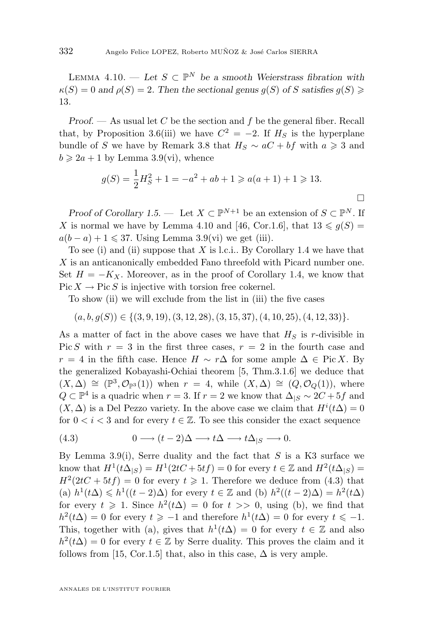LEMMA  $4.10.$  — Let  $S \subset \mathbb{P}^N$  be a smooth Weierstrass fibration with  $\kappa(S) = 0$  and  $\rho(S) = 2$ . Then the sectional genus  $g(S)$  of S satisfies  $g(S) \geq$ 13*.*

*Proof.* — As usual let C be the section and f be the general fiber. Recall that, by Proposition [3.6\(](#page-7-0)iii) we have  $C^2 = -2$ . If  $H_S$  is the hyperplane bundle of S we have by Remark [3.8](#page-9-0) that  $H_S \sim aC + bf$  with  $a \geq 3$  and  $b \geqslant 2a + 1$  by Lemma [3.9\(](#page-9-0)vi), whence

$$
g(S) = \frac{1}{2}H_S^2 + 1 = -a^2 + ab + 1 \geqslant a(a+1) + 1 \geqslant 13.
$$

 $\Box$ 

*Proof of Corollary* [1.5.](#page-4-0) — Let  $X \subset \mathbb{P}^{N+1}$  be an extension of  $S \subset \mathbb{P}^N$ . If X is normal we have by Lemma [4.10](#page-21-0) and [\[46,](#page-35-0) Cor.1.6], that  $13 \le g(S) =$  $a(b-a)+1 \leqslant 37$ . Using Lemma [3.9\(](#page-9-0)vi) we get (iii).

To see (i) and (ii) suppose that X is l.c.i.. By Corollary [1.4](#page-4-0) we have that X is an anticanonically embedded Fano threefold with Picard number one. Set  $H = -K_X$ . Moreover, as in the proof of Corollary [1.4,](#page-4-0) we know that  $Pic X \to Pic S$  is injective with torsion free cokernel.

To show (ii) we will exclude from the list in (iii) the five cases

$$
(a, b, g(S)) \in \{(3, 9, 19), (3, 12, 28), (3, 15, 37), (4, 10, 25), (4, 12, 33)\}.
$$

As a matter of fact in the above cases we have that  $H<sub>S</sub>$  is r-divisible in Pic S with  $r = 3$  in the first three cases,  $r = 2$  in the fourth case and  $r = 4$  in the fifth case. Hence  $H \sim r\Delta$  for some ample  $\Delta \in \text{Pic } X$ . By the generalized Kobayashi-Ochiai theorem [\[5,](#page-34-0) Thm.3.1.6] we deduce that  $(X, \Delta) \cong (\mathbb{P}^3, \mathcal{O}_{\mathbb{P}^3}(1))$  when  $r = 4$ , while  $(X, \Delta) \cong (Q, \mathcal{O}_Q(1))$ , where  $Q \subset \mathbb{P}^4$  is a quadric when  $r = 3$ . If  $r = 2$  we know that  $\Delta_{|S} \sim 2C + 5f$  and  $(X, \Delta)$  is a Del Pezzo variety. In the above case we claim that  $H^{i}(t\Delta) = 0$ for  $0 < i < 3$  and for every  $t \in \mathbb{Z}$ . To see this consider the exact sequence

(4.3) 
$$
0 \longrightarrow (t-2)\Delta \longrightarrow t\Delta \longrightarrow t\Delta_{|S} \longrightarrow 0.
$$

By Lemma [3.9\(](#page-9-0)i), Serre duality and the fact that  $S$  is a K3 surface we know that  $H^1(t\Delta_{|S}) = H^1(2tC+5tf) = 0$  for every  $t \in \mathbb{Z}$  and  $H^2(t\Delta_{|S}) =$  $H^2(2tC+5tf)=0$  for every  $t\geqslant 1$ . Therefore we deduce from (4.3) that (a)  $h^1(t\Delta) \leq h^1((t-2)\Delta)$  for every  $t \in \mathbb{Z}$  and (b)  $h^2((t-2)\Delta) = h^2(t\Delta)$ for every  $t \geq 1$ . Since  $h^2(t\Delta) = 0$  for  $t >> 0$ , using (b), we find that  $h^2(t\Delta) = 0$  for every  $t \geqslant -1$  and therefore  $h^1(t\Delta) = 0$  for every  $t \leqslant -1$ . This, together with (a), gives that  $h^1(t\Delta) = 0$  for every  $t \in \mathbb{Z}$  and also  $h^2(t\Delta) = 0$  for every  $t \in \mathbb{Z}$  by Serre duality. This proves the claim and it follows from [\[15,](#page-34-0) Cor.1.5] that, also in this case,  $\Delta$  is very ample.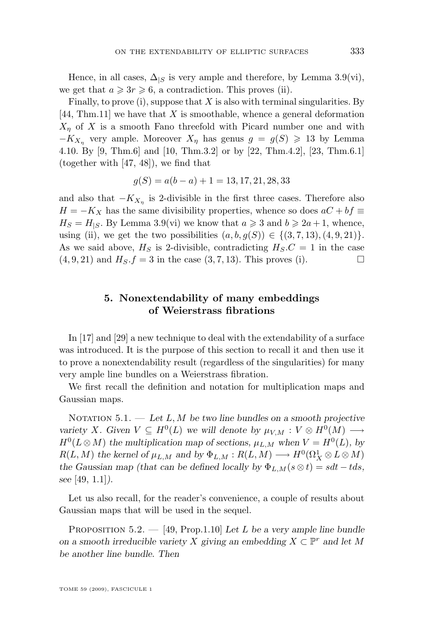<span id="page-23-0"></span>Hence, in all cases,  $\Delta_{|S}$  is very ample and therefore, by Lemma [3.9\(](#page-9-0)vi), we get that  $a \geqslant 3r \geqslant 6$ , a contradiction. This proves (ii).

Finally, to prove  $(i)$ , suppose that  $X$  is also with terminal singularities. By  $[44, Thm.11]$  $[44, Thm.11]$  we have that X is smoothable, whence a general deformation  $X_n$  of X is a smooth Fano threefold with Picard number one and with  $-K_{X_n}$  very ample. Moreover  $X_n$  has genus  $g = g(S) \geq 13$  by Lemma [4.10.](#page-21-0) By [\[9,](#page-34-0) Thm.6] and [\[10,](#page-34-0) Thm.3.2] or by [\[22,](#page-34-0) Thm.4.2], [\[23,](#page-34-0) Thm.6.1] (together with [\[47,](#page-35-0) [48\]](#page-35-0)), we find that

$$
g(S) = a(b - a) + 1 = 13, 17, 21, 28, 33
$$

and also that  $-K_{X_{\eta}}$  is 2-divisible in the first three cases. Therefore also  $H = -K_X$  has the same divisibility properties, whence so does  $aC + bf \equiv$  $H_S = H_{\{S\}}$ . By Lemma [3.9\(](#page-9-0)vi) we know that  $a \geqslant 3$  and  $b \geqslant 2a+1$ , whence, using (ii), we get the two possibilities  $(a, b, g(S)) \in \{(3, 7, 13), (4, 9, 21)\}.$ As we said above,  $H<sub>S</sub>$  is 2-divisible, contradicting  $H<sub>S</sub>$ . $C = 1$  in the case  $(4, 9, 21)$  and  $H_S.f = 3$  in the case  $(3, 7, 13)$ . This proves (i).

### **5. Nonextendability of many embeddings of Weierstrass fibrations**

In [\[17\]](#page-34-0) and [\[29\]](#page-35-0) a new technique to deal with the extendability of a surface was introduced. It is the purpose of this section to recall it and then use it to prove a nonextendability result (regardless of the singularities) for many very ample line bundles on a Weierstrass fibration.

We first recall the definition and notation for multiplication maps and Gaussian maps.

NOTATION 5.1. — Let L, M be two line bundles on a smooth projective *variety* X. Given  $V \subseteq H^0(L)$  *we will denote by*  $\mu_{V,M} : V \otimes H^0(M) \longrightarrow$  $H^0(L \otimes M)$  the multiplication map of sections,  $\mu_{L,M}$  when  $V = H^0(L)$ , by  $R(L, M)$  the kernel of  $\mu_{L,M}$  and by  $\Phi_{L,M}: R(L, M) \longrightarrow H^0(\Omega^1_X \otimes L \otimes M)$ *the Gaussian map (that can be defined locally by*  $\Phi_{L,M}(s \otimes t) = sdt - tds$ , *see* [\[49,](#page-35-0) 1.1]*).*

Let us also recall, for the reader's convenience, a couple of results about Gaussian maps that will be used in the sequel.

Proposition 5.2. — [\[49,](#page-35-0) Prop.1.10] *Let* L *be a very ample line bundle on a smooth irreducible variety* X giving an embedding  $X \subset \mathbb{P}^r$  and let M *be another line bundle. Then*

TOME 59 (2009), FASCICULE 1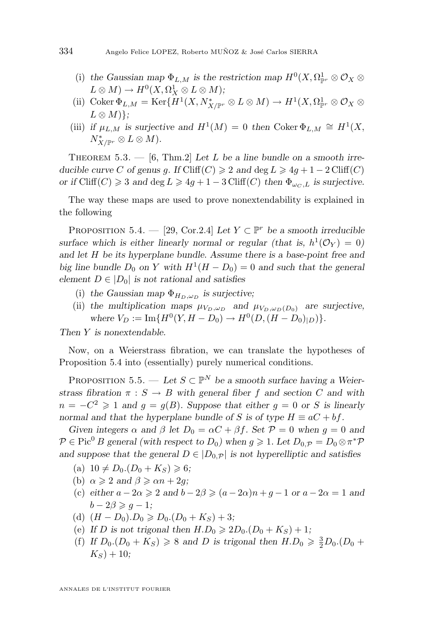- (i) the Gaussian map  $\Phi_{L,M}$  is the restriction map  $H^0(X, \Omega^1_{\mathbb{P}^r} \otimes \mathcal{O}_X \otimes$  $L \otimes M$ )  $\rightarrow H^0(X, \Omega_X^1 \otimes L \otimes M);$
- (ii) Coker  $\Phi_{L,M} = \text{Ker}\{H^1(X,N^*_{X/\mathbb{P}^r} \otimes L \otimes M) \to H^1(X,\Omega^1_{\mathbb{P}^r} \otimes \mathcal{O}_X \otimes$  $L \otimes M$  $\}$ :
- (iii) if  $\mu_{L,M}$  is surjective and  $H^1(M) = 0$  then Coker  $\Phi_{L,M} \cong H^1(X, \mathbb{R})$  $N^*_{X/\mathbb{P}^r} \otimes L \otimes M$ ).

THEOREM 5.3. — [\[6,](#page-34-0) Thm.2] Let L be a line bundle on a smooth irre*ducible curve* C *of genus g.* If Cliff $(C) \geq 2$  *and* deg  $L \geq 4g + 1 - 2$  Cliff $(C)$ *or if* Cliff(C)  $\geq 3$  *and* deg  $L \geq 4g + 1 - 3$  Cliff(C) *then*  $\Phi_{\omega_C, L}$  *is surjective.* 

The way these maps are used to prove nonextendability is explained in the following

PROPOSITION 5.4. — [\[29,](#page-35-0) Cor.2.4] Let  $Y \subset \mathbb{P}^r$  be a smooth irreducible surface which is either linearly normal or regular (that is,  $h^1(\mathcal{O}_Y) = 0$ ) *and let* H *be its hyperplane bundle. Assume there is a base-point free and big line bundle*  $D_0$  *on* Y *with*  $H^1(H - D_0) = 0$  *and such that the general element*  $D \in |D_0|$  *is not rational and satisfies* 

- (i) the Gaussian map  $\Phi_{H_D,\omega_D}$  is surjective;
- (ii) the multiplication maps  $\mu_{V_D,\omega_D}$  and  $\mu_{V_D,\omega_D(D_0)}$  are surjective, where  $V_D := \text{Im}\{H^0(Y, H - D_0) \to H^0(D, (H - D_0)_{|D})\}.$

*Then* Y *is nonextendable.*

Now, on a Weierstrass fibration, we can translate the hypotheses of Proposition 5.4 into (essentially) purely numerical conditions.

PROPOSITION 5.5. — Let  $S \subset \mathbb{P}^N$  be a smooth surface having a Weier*strass fibration*  $\pi : S \to B$  *with general fiber* f *and section* C *and with*  $n = -C^2 \geq 1$  and  $g = g(B)$ *. Suppose that either*  $g = 0$  or S is linearly *normal and that the hyperplane bundle of* S *is of type*  $H \equiv aC + bf$ .

*Given integers*  $\alpha$  *and*  $\beta$  *let*  $D_0 = \alpha C + \beta f$ *. Set*  $\mathcal{P} = 0$  *when*  $q = 0$  *and*  $P \in Pic^0 B$  general (with respect to  $D_0$ ) when  $g \geq 1$ . Let  $D_{0,\mathcal{P}} = D_0 \otimes \pi^* \mathcal{P}$ and suppose that the general  $D \in |D_0, p|$  is not hyperelliptic and satisfies

- (a)  $10 \neq D_0$ . $(D_0 + K_S) \geq 6;$
- (b)  $\alpha \geqslant 2$  *and*  $\beta \geqslant \alpha n + 2g$ ;
- (c) *either*  $a 2\alpha \ge 2$  *and*  $b 2\beta \ge (a 2\alpha)n + g 1$  *or*  $a 2\alpha = 1$  *and*  $b - 2\beta \geqslant q - 1$ ;
- (d)  $(H D_0) \cdot D_0 \ge D_0 \cdot (D_0 + K_S) + 3;$
- (e) If D is not trigonal then  $H.D_0 \geq 2D_0.(D_0 + K_S) + 1;$
- (f) *If*  $D_0$ . $(D_0 + K_S) \ge 8$  *and D is trigonal then*  $H.D_0 \ge \frac{3}{2}D_0$ . $(D_0 +$  $K_S$ ) + 10;

<span id="page-24-0"></span>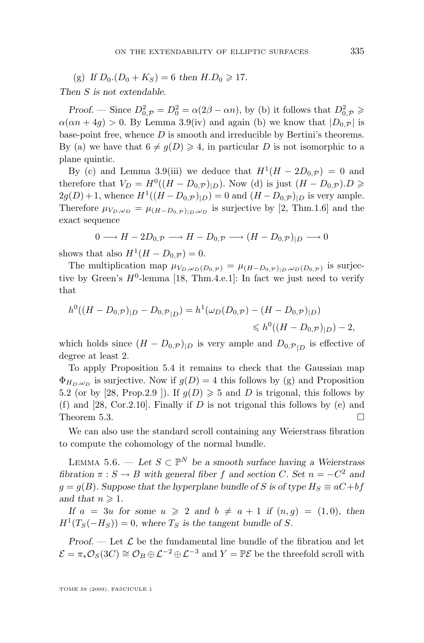<span id="page-25-0"></span>(g) If  $D_0$ .  $(D_0 + K_S) = 6$  then  $H.D_0 \ge 17$ .

*Then* S *is not extendable.*

*Proof.* — Since  $D_{0,\mathcal{P}}^2 = D_0^2 = \alpha(2\beta - \alpha n)$ , by (b) it follows that  $D_{0,\mathcal{P}}^2 \geqslant$  $\alpha(\alpha n + 4g) > 0$ . By Lemma [3.9\(](#page-9-0)iv) and again (b) we know that  $|D_{0,p}|$  is base-point free, whence  $D$  is smooth and irreducible by Bertini's theorems. By (a) we have that  $6 \neq g(D) \geq 4$ , in particular D is not isomorphic to a plane quintic.

By (c) and Lemma [3.9\(](#page-9-0)iii) we deduce that  $H^1(H - 2D_{0,\mathcal{P}}) = 0$  and therefore that  $V_D = H^0((H - D_{0,\mathcal{P}})|_D)$ . Now (d) is just  $(H - D_{0,\mathcal{P}}) \cdot D \geq$  $2g(D) + 1$ , whence  $H^1((H - D_{0,\mathcal{P}})|_D) = 0$  and  $(H - D_{0,\mathcal{P}})|_D$  is very ample. Therefore  $\mu_{V_D,\omega_D} = \mu_{(H-D_0,p)|_D,\omega_D}$  is surjective by [\[2,](#page-33-0) Thm.1.6] and the exact sequence

$$
0 \longrightarrow H - 2D_{0,\mathcal{P}} \longrightarrow H - D_{0,\mathcal{P}} \longrightarrow (H - D_{0,\mathcal{P}})|_{D} \longrightarrow 0
$$

shows that also  $H^1(H - D_{0,\mathcal{P}}) = 0$ .

The multiplication map  $\mu_{V_D,\omega_D(D_{0,\mathcal{P}})} = \mu_{(H-D_{0,\mathcal{P}})|_D,\omega_D(D_{0,\mathcal{P}})}$  is surjective by Green's  $H^0$ -lemma [\[18,](#page-34-0) Thm.4.e.1]: In fact we just need to verify that

$$
h^{0}((H - D_{0,\mathcal{P}})|_{D} - D_{0,\mathcal{P}}|_{D}) = h^{1}(\omega_{D}(D_{0,\mathcal{P}}) - (H - D_{0,\mathcal{P}})|_{D})
$$
  
\$\leq h^{0}((H - D\_{0,\mathcal{P}})|\_{D}) - 2\$,

which holds since  $(H - D_{0,\mathcal{P}})|_D$  is very ample and  $D_{0,\mathcal{P}}|_D$  is effective of degree at least 2.

To apply Proposition [5.4](#page-24-0) it remains to check that the Gaussian map  $\Phi_{H_D,\omega_D}$  is surjective. Now if  $g(D) = 4$  this follows by (g) and Proposition [5.2](#page-23-0) (or by [\[28,](#page-35-0) Prop. 2.9 ]). If  $g(D) \ge 5$  and D is trigonal, this follows by (f) and [\[28,](#page-35-0) Cor.2.10]. Finally if  $D$  is not trigonal this follows by (e) and Theorem [5.3.](#page-24-0)  $\Box$ 

We can also use the standard scroll containing any Weierstrass fibration to compute the cohomology of the normal bundle.

LEMMA 5.6. — Let  $S \subset \mathbb{P}^N$  be a smooth surface having a Weierstrass *fibration*  $\pi : S \to B$  *with general fiber* f and section C. Set  $n = -C^2$  and  $g = g(B)$ *. Suppose that the hyperplane bundle of* S is of type  $H_S \equiv aC + bf$ *and that*  $n \geqslant 1$ *.* 

*If*  $a = 3u$  *for some*  $u \ge 2$  *and*  $b \ne a + 1$  *if*  $(n, g) = (1, 0)$ *, then*  $H<sup>1</sup>(T<sub>S</sub>(-H<sub>S</sub>)) = 0$ , where  $T<sub>S</sub>$  is the tangent bundle of S.

*Proof.* — Let  $\mathcal{L}$  be the fundamental line bundle of the fibration and let  $\mathcal{E} = \pi_* \mathcal{O}_S(3C) \cong \mathcal{O}_B \oplus \mathcal{L}^{-2} \oplus \mathcal{L}^{-3}$  and  $Y = \mathbb{P}\mathcal{E}$  be the threefold scroll with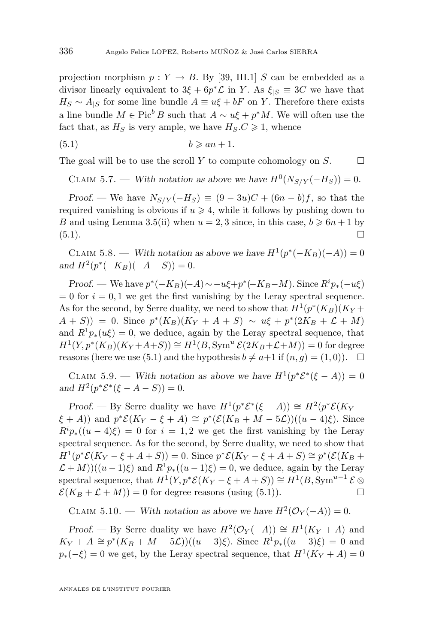<span id="page-26-0"></span>projection morphism  $p: Y \to B$ . By [\[39,](#page-35-0) III.1] S can be embedded as a divisor linearly equivalent to  $3\xi + 6p^*\mathcal{L}$  in Y. As  $\xi_{|S} \equiv 3C$  we have that  $H_S \sim A_{|S}$  for some line bundle  $A \equiv u\xi + bF$  on Y. Therefore there exists a line bundle  $M \in \text{Pic}^b B$  such that  $A \sim u\xi + p^*M$ . We will often use the fact that, as  $H_S$  is very ample, we have  $H_S.C \geq 1$ , whence

$$
(5.1) \t\t b \geqslant an + 1.
$$

The goal will be to use the scroll Y to compute cohomology on  $S$ .

CLAIM 5.7. — With notation as above we have  $H^0(N_{S/Y}(-H_S))=0$ .

*Proof.* — We have  $N_{S/Y}(-H_S) \equiv (9-3u)C + (6n-b)f$ , so that the required vanishing is obvious if  $u \ge 4$ , while it follows by pushing down to B and using Lemma [3.5\(](#page-7-0)ii) when  $u = 2, 3$  since, in this case,  $b \ge 6n + 1$  by  $(5.1).$ 

CLAIM 5.8. — With notation as above we have  $H^1(p^*(-K_B)(-A)) = 0$  $and H^2(p^*(-K_B)(-A-S)) = 0.$ 

*Proof.* — We have  $p^*(-K_B)(-A) \sim -u\xi + p^*(-K_B-M)$ . Since  $R^i p_*(-u\xi)$  $= 0$  for  $i = 0, 1$  we get the first vanishing by the Leray spectral sequence. As for the second, by Serre duality, we need to show that  $H^1(p^*(K_B)(K_Y +$  $(A + S)$  = 0. Since  $p^*(K_B)(K_Y + A + S) \sim u\xi + p^*(2K_B + \mathcal{L} + M)$ and  $R^1p_*(u\xi) = 0$ , we deduce, again by the Leray spectral sequence, that  $H^1(Y, p^*(K_B)(K_Y+A+S)) \cong H^1(B, Sym^u \mathcal{E}(2K_B+\mathcal{L}+M)) = 0$  for degree reasons (here we use (5.1) and the hypothesis  $b \neq a+1$  if  $(n, g) = (1, 0)$ .  $\Box$ 

CLAIM 5.9. — With notation as above we have  $H^1(p^*\mathcal{E}^*(\xi - A)) = 0$ *and*  $H^2(p^* \mathcal{E}^*(\xi - A - S)) = 0$ *.* 

*Proof.* — By Serre duality we have  $H^1(p^*\mathcal{E}^*(\xi - A)) \cong H^2(p^*\mathcal{E}(K_Y - A))$  $(\xi + A)$ ) and  $p^* \mathcal{E}(K_Y - \xi + A) \cong p^* (\mathcal{E}(K_B + M - 5\mathcal{L}))((u - 4)\xi)$ . Since  $R^i p_*(u-4)\xi = 0$  for  $i = 1, 2$  we get the first vanishing by the Leray spectral sequence. As for the second, by Serre duality, we need to show that  $H^1(p^*\mathcal{E}(K_Y - \xi + A + S)) = 0$ . Since  $p^*\mathcal{E}(K_Y - \xi + A + S) \cong p^*(\mathcal{E}(K_B +$  $\mathcal{L} + M$ ))( $(u - 1)\xi$ ) and  $R^1p_*(u - 1)\xi$ ) = 0, we deduce, again by the Leray spectral sequence, that  $H^1(Y, p^*\mathcal{E}(K_Y - \xi + A + S)) \cong H^1(B, Sym^{u-1}\mathcal{E} \otimes$  $\mathcal{E}(K_B + \mathcal{L} + M)) = 0$  for degree reasons (using (5.1)).

CLAIM 5.10. — With notation as above we have  $H^2(\mathcal{O}_Y(-A)) = 0$ .

*Proof.* — By Serre duality we have  $H^2(\mathcal{O}_Y(-A)) \cong H^1(K_Y+A)$  and  $K_Y + A \cong p^*(K_B + M - 5\mathcal{L}))((u - 3)\xi)$ . Since  $R^1p_*(u - 3)\xi) = 0$  and  $p_*(-\xi) = 0$  we get, by the Leray spectral sequence, that  $H^1(K_Y + A) = 0$ 

ANNALES DE L'INSTITUT FOURIER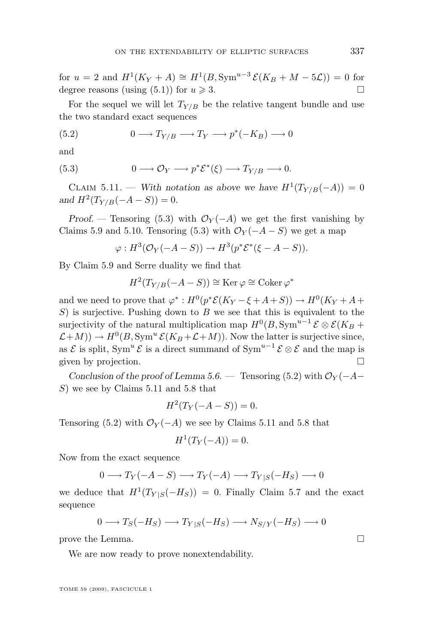for  $u = 2$  and  $H^1(K_Y + A) \cong H^1(B, Sym^{u-3} \mathcal{E}(K_B + M - 5\mathcal{L})) = 0$  for degree reasons (using [\(5.1\)](#page-26-0)) for  $u \ge 3$ .

For the sequel we will let  $T_{Y/B}$  be the relative tangent bundle and use the two standard exact sequences

(5.2) 
$$
0 \longrightarrow T_{Y/B} \longrightarrow T_Y \longrightarrow p^*(-K_B) \longrightarrow 0
$$

and

(5.3) 
$$
0 \longrightarrow \mathcal{O}_Y \longrightarrow p^* \mathcal{E}^*(\xi) \longrightarrow T_{Y/B} \longrightarrow 0.
$$

CLAIM 5.11. — With notation as above we have  $H^1(T_{Y/B}(-A)) = 0$  $and H^2(T_{Y/B}(-A - S)) = 0.$ 

*Proof.* — Tensoring (5.3) with  $\mathcal{O}_Y(-A)$  we get the first vanishing by Claims [5.9](#page-26-0) and [5.10.](#page-26-0) Tensoring (5.3) with  $\mathcal{O}_Y(-A-S)$  we get a map

$$
\varphi: H^3(\mathcal{O}_Y(-A-S)) \to H^3(p^*\mathcal{E}^*(\xi-A-S)).
$$

By Claim [5.9](#page-26-0) and Serre duality we find that

$$
H^2(T_{Y/B}(-A - S)) \cong \text{Ker}\,\varphi \cong \text{Coker}\,\varphi^*
$$

and we need to prove that  $\varphi^*: H^0(p^*\mathcal{E}(K_Y - \xi + A + S)) \to H^0(K_Y + A +$  $S$ ) is surjective. Pushing down to B we see that this is equivalent to the surjectivity of the natural multiplication map  $H^0(B, \text{Sym}^{u-1} \mathcal{E} \otimes \mathcal{E}(K_B +$  $\mathcal{L}+M$ )  $\to H^0(B, \text{Sym}^u \mathcal{E}(K_B+\mathcal{L}+M)).$  Now the latter is surjective since, as  $\mathcal E$  is split, Sym<sup>u</sup>  $\mathcal E$  is a direct summand of Sym<sup>u-1</sup>  $\mathcal E \otimes \mathcal E$  and the map is given by projection.

*Conclusion of the proof of Lemma [5.6.](#page-25-0)* — Tensoring (5.2) with  $\mathcal{O}_Y(-A-$ S) we see by Claims 5.11 and [5.8](#page-26-0) that

$$
H^2(T_Y(-A-S)) = 0.
$$

Tensoring (5.2) with  $\mathcal{O}_Y(-A)$  we see by Claims 5.11 and [5.8](#page-26-0) that

$$
H^1(T_Y(-A)) = 0.
$$

Now from the exact sequence

$$
0 \longrightarrow T_Y(-A-S) \longrightarrow T_Y(-A) \longrightarrow T_{Y|S}(-H_S) \longrightarrow 0
$$

we deduce that  $H^1(T_{Y|S}(-H_S)) = 0$ . Finally Claim [5.7](#page-26-0) and the exact sequence

$$
0 \longrightarrow T_S(-H_S) \longrightarrow T_{Y|S}(-H_S) \longrightarrow N_{S/Y}(-H_S) \longrightarrow 0
$$

prove the Lemma.  $\Box$ 

We are now ready to prove nonextendability.

TOME 59 (2009), FASCICULE 1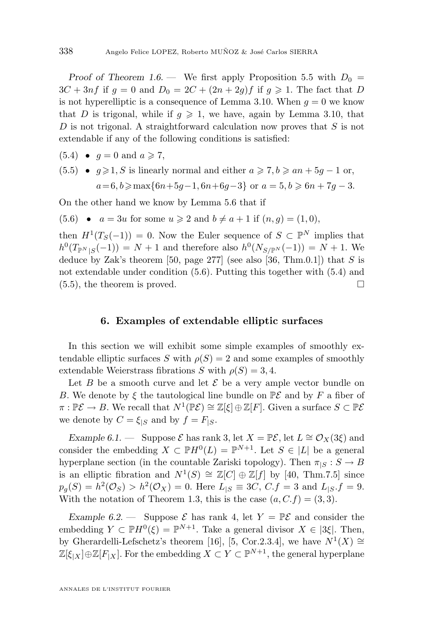<span id="page-28-0"></span>*Proof of Theorem [1.6.](#page-4-0)* — We first apply Proposition [5.5](#page-24-0) with  $D_0 =$  $3C + 3nf$  if  $g = 0$  and  $D_0 = 2C + (2n + 2g)f$  if  $g \ge 1$ . The fact that D is not hyperelliptic is a consequence of Lemma [3.10.](#page-10-0) When  $q = 0$  we know that D is trigonal, while if  $q \geq 1$ , we have, again by Lemma [3.10,](#page-10-0) that D is not trigonal. A straightforward calculation now proves that  $S$  is not extendable if any of the following conditions is satisfied:

- $(5.4) \bullet q = 0 \text{ and } a \geqslant 7,$
- $(5.5)$   $g \ge 1$ , S is linearly normal and either  $a \ge 7$ ,  $b \ge an + 5g 1$  or,  $a=6, b \geq \max\{6n+5g-1, 6n+6g-3\}$  or  $a=5, b \geq 6n+7g-3$ .

On the other hand we know by Lemma [5.6](#page-25-0) that if

(5.6) •  $a = 3u$  for some  $u \ge 2$  and  $b \ne a+1$  if  $(n, q) = (1, 0)$ ,

then  $H^1(T_S(-1)) = 0$ . Now the Euler sequence of  $S \subset \mathbb{P}^N$  implies that  $h^0(T_{\mathbb{P}^N | S}(-1)) = N + 1$  and therefore also  $h^0(N_{S/\mathbb{P}^N}(-1)) = N + 1$ . We deduce by Zak's theorem [\[50,](#page-36-0) page 277] (see also [\[36,](#page-35-0) Thm.0.1]) that  $S$  is not extendable under condition (5.6). Putting this together with (5.4) and  $(5.5)$ , the theorem is proved.

#### **6. Examples of extendable elliptic surfaces**

In this section we will exhibit some simple examples of smoothly extendable elliptic surfaces S with  $\rho(S) = 2$  and some examples of smoothly extendable Weierstrass fibrations S with  $\rho(S) = 3, 4$ .

Let B be a smooth curve and let  $\mathcal E$  be a very ample vector bundle on B. We denote by  $\xi$  the tautological line bundle on  $\mathbb{P}\mathcal{E}$  and by F a fiber of  $\pi: \mathbb{P}{\mathcal{E}} \to B$ . We recall that  $N^1(\mathbb{P}{\mathcal{E}}) \cong \mathbb{Z}[\xi] \oplus \mathbb{Z}[F]$ . Given a surface  $S \subset \mathbb{P}{\mathcal{E}}$ we denote by  $C = \xi_{|S}$  and by  $f = F_{|S}$ .

*Example 6.1.* — Suppose  $\mathcal E$  has rank 3, let  $X = \mathbb{P}{\mathcal E}$ , let  $L \cong \mathcal O_X(3\xi)$  and consider the embedding  $X \subset \mathbb{P}H^0(L) = \mathbb{P}^{N+1}$ . Let  $S \in |L|$  be a general hyperplane section (in the countable Zariski topology). Then  $\pi_{|S}: S \to B$ is an elliptic fibration and  $N^1(S) \cong \mathbb{Z}[C] \oplus \mathbb{Z}[f]$  by [\[40,](#page-35-0) Thm.7.5] since  $p_g(S) = h^2(\mathcal{O}_S) > h^2(\mathcal{O}_X) = 0.$  Here  $L_{|S} \equiv 3C, C.f = 3$  and  $L_{|S}.f = 9.$ With the notation of Theorem [1.3,](#page-3-0) this is the case  $(a, C.f) = (3, 3)$ .

*Example 6.2.* — Suppose  $\mathcal{E}$  has rank 4, let  $Y = \mathbb{P}\mathcal{E}$  and consider the embedding  $Y \subset \mathbb{P}H^0(\xi) = \mathbb{P}^{N+1}$ . Take a general divisor  $X \in (3\xi]$ . Then, by Gherardelli-Lefschetz's theorem [\[16\]](#page-34-0), [\[5,](#page-34-0) Cor.2.3.4], we have  $N^1(X) \cong$  $\mathbb{Z}[\xi_{|X}]\oplus\mathbb{Z}[F_{|X}]$ . For the embedding  $X\subset Y\subset\mathbb{P}^{N+1}$ , the general hyperplane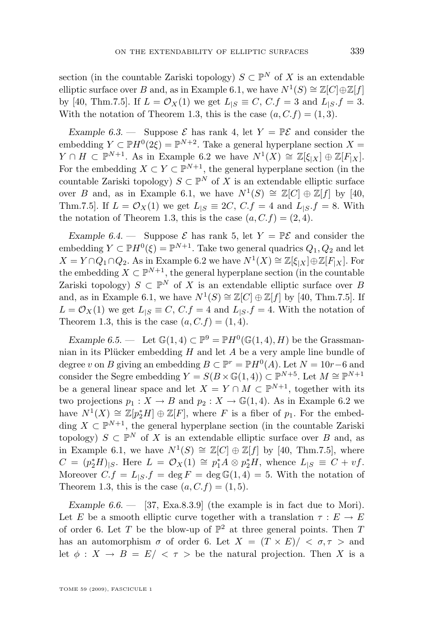<span id="page-29-0"></span>section (in the countable Zariski topology)  $S \subset \mathbb{P}^N$  of X is an extendable elliptic surface over B and, as in Example [6.1,](#page-28-0) we have  $N^1(S) \cong \mathbb{Z}[C] \oplus \mathbb{Z}[f]$ by [\[40,](#page-35-0) Thm.7.5]. If  $L = \mathcal{O}_X(1)$  we get  $L_{|S} \equiv C, C.f = 3$  and  $L_{|S} f = 3$ . With the notation of Theorem [1.3,](#page-3-0) this is the case  $(a, C, f) = (1, 3)$ .

*Example 6.3.* — Suppose  $\mathcal{E}$  has rank 4, let  $Y = \mathbb{P}\mathcal{E}$  and consider the embedding  $Y \subset \mathbb{P}H^0(2\xi) = \mathbb{P}^{N+2}$ . Take a general hyperplane section  $X =$  $Y \cap H \subset \mathbb{P}^{N+1}$ . As in Example [6.2](#page-28-0) we have  $N^1(X) \cong \mathbb{Z}[\xi_{|X}] \oplus \mathbb{Z}[F_{|X}]$ . For the embedding  $X \subset Y \subset \mathbb{P}^{N+1}$ , the general hyperplane section (in the countable Zariski topology)  $S \subset \mathbb{P}^N$  of X is an extendable elliptic surface over B and, as in Example [6.1,](#page-28-0) we have  $N^1(S) \cong \mathbb{Z}[C] \oplus \mathbb{Z}[f]$  by [\[40,](#page-35-0) Thm.7.5]. If  $L = \mathcal{O}_X(1)$  we get  $L_{|S} \equiv 2C$ ,  $C.f = 4$  and  $L_{|S} f = 8$ . With the notation of Theorem [1.3,](#page-3-0) this is the case  $(a, C.f) = (2, 4)$ .

*Example 6.4.* — Suppose  $\mathcal{E}$  has rank 5, let  $Y = \mathbb{P}\mathcal{E}$  and consider the embedding  $Y \subset \mathbb{P}H^0(\xi) = \mathbb{P}^{N+1}$ . Take two general quadrics  $Q_1, Q_2$  and let  $X = Y \cap Q_1 \cap Q_2$ . As in Example [6.2](#page-28-0) we have  $N^1(X) \cong \mathbb{Z}[\xi_{|X}] \oplus \mathbb{Z}[F_{|X}]$ . For the embedding  $X \subset \mathbb{P}^{N+1}$ , the general hyperplane section (in the countable Zariski topology)  $S \subset \mathbb{P}^N$  of X is an extendable elliptic surface over B and, as in Example [6.1,](#page-28-0) we have  $N^1(S) \cong \mathbb{Z}[C] \oplus \mathbb{Z}[f]$  by [\[40,](#page-35-0) Thm.7.5]. If  $L = \mathcal{O}_X(1)$  we get  $L_{|S} \equiv C, C.f = 4$  and  $L_{|S} f = 4$ . With the notation of Theorem [1.3,](#page-3-0) this is the case  $(a, C.f) = (1, 4)$ .

*Example 6.5.* — Let  $\mathbb{G}(1,4) \subset \mathbb{P}^9 = \mathbb{P}H^0(\mathbb{G}(1,4), H)$  be the Grassmannian in its Plücker embedding H and let A be a very ample line bundle of degree v on B giving an embedding  $B \subset \mathbb{P}^r = \mathbb{P}H^0(A)$ . Let  $N = 10r - 6$  and consider the Segre embedding  $Y = S(B \times \mathbb{G}(1, 4)) \subset \mathbb{P}^{N+5}$ . Let  $M \cong \mathbb{P}^{N+1}$ be a general linear space and let  $X = Y \cap M \subset \mathbb{P}^{N+1}$ , together with its two projections  $p_1: X \to B$  and  $p_2: X \to \mathbb{G}(1, 4)$ . As in Example [6.2](#page-28-0) we have  $N^1(X) \cong \mathbb{Z}[p_2^*H] \oplus \mathbb{Z}[F]$ , where F is a fiber of  $p_1$ . For the embedding  $X \subset \mathbb{P}^{N+1}$ , the general hyperplane section (in the countable Zariski topology)  $S \subset \mathbb{P}^N$  of X is an extendable elliptic surface over B and, as in Example [6.1,](#page-28-0) we have  $N^1(S) \cong \mathbb{Z}[C] \oplus \mathbb{Z}[f]$  by [\[40,](#page-35-0) Thm.7.5], where  $C = (p_2^* H)_{|S}$ . Here  $L = \mathcal{O}_X(1) \cong p_1^* A \otimes p_2^* H$ , whence  $L_{|S} \equiv C + v f$ . Moreover  $C.f = L_{|S}.f = \deg F = \deg \mathbb{G}(1, 4) = 5$ . With the notation of Theorem [1.3,](#page-3-0) this is the case  $(a, C.f) = (1, 5)$ .

*Example 6.6. —* [\[37,](#page-35-0) Exa.8.3.9] (the example is in fact due to Mori). Let E be a smooth elliptic curve together with a translation  $\tau : E \to E$ of order 6. Let T be the blow-up of  $\mathbb{P}^2$  at three general points. Then T has an automorphism  $\sigma$  of order 6. Let  $X = (T \times E)/ \langle \sigma, \tau \rangle$  and let  $\phi: X \to B = E/<\tau>$  be the natural projection. Then X is a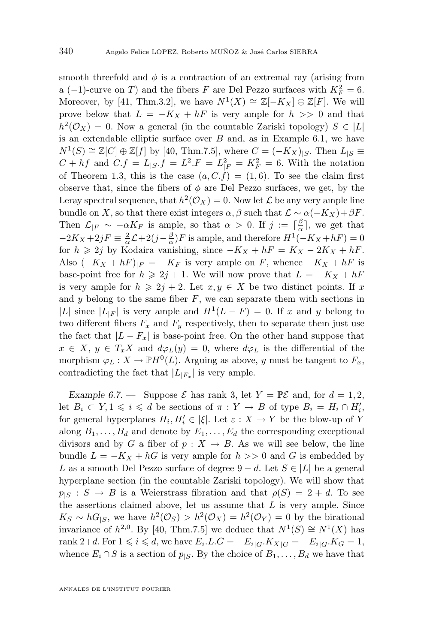<span id="page-30-0"></span>smooth threefold and  $\phi$  is a contraction of an extremal ray (arising from a (-1)-curve on T) and the fibers F are Del Pezzo surfaces with  $K_F^2 = 6$ . Moreover, by [\[41,](#page-35-0) Thm.3.2], we have  $N^1(X) \cong \mathbb{Z}[-K_X] \oplus \mathbb{Z}[F]$ . We will prove below that  $L = -K_X + hF$  is very ample for  $h >> 0$  and that  $h^2(\mathcal{O}_X) = 0$ . Now a general (in the countable Zariski topology)  $S \in |L|$ is an extendable elliptic surface over  $B$  and, as in Example [6.1,](#page-28-0) we have  $N^1(S) \cong \mathbb{Z}[C] \oplus \mathbb{Z}[f]$  by [\[40,](#page-35-0) Thm.7.5], where  $C = (-K_X)_{|S}$ . Then  $L_{|S} \equiv$  $C + hf$  and  $C.f = L_{|S}.f = L^2.F = L_{|F}^2 = K_F^2 = 6$ . With the notation of Theorem [1.3,](#page-3-0) this is the case  $(a, C, f) = (1, 6)$ . To see the claim first observe that, since the fibers of  $\phi$  are Del Pezzo surfaces, we get, by the Leray spectral sequence, that  $h^2(\mathcal{O}_X) = 0$ . Now let  $\mathcal L$  be any very ample line bundle on X, so that there exist integers  $\alpha$ ,  $\beta$  such that  $\mathcal{L} \sim \alpha(-K_X)+\beta F$ . Then  $\mathcal{L}_{|F} \sim -\alpha K_F$  is ample, so that  $\alpha > 0$ . If  $j := \lceil \frac{\beta}{\alpha} \rceil$ , we get that  $-2K_X+2jF \equiv \frac{2}{\alpha}\mathcal{L}+2(j-\frac{\beta}{\alpha})F$  is ample, and therefore  $H^1(-K_X+hF)=0$ for  $h \geq 2j$  by Kodaira vanishing, since  $-K_X + hF = K_X - 2K_X + hF$ . Also  $(-K_X + hF)_{|F} = -K_F$  is very ample on F, whence  $-K_X + hF$  is base-point free for  $h \geq 2j + 1$ . We will now prove that  $L = -K_X + hF$ is very ample for  $h \geq 2j + 2$ . Let  $x, y \in X$  be two distinct points. If x and  $y$  belong to the same fiber  $F$ , we can separate them with sections in |L| since  $|L_{|F}|$  is very ample and  $H^1(L - F) = 0$ . If x and y belong to two different fibers  $F_x$  and  $F_y$  respectively, then to separate them just use the fact that  $|L - F_x|$  is base-point free. On the other hand suppose that  $x \in X$ ,  $y \in T_xX$  and  $d\varphi_L(y) = 0$ , where  $d\varphi_L$  is the differential of the morphism  $\varphi_L : X \to \mathbb{P}H^0(L)$ . Arguing as above, y must be tangent to  $F_x$ , contradicting the fact that  $|L_{|F_x}|$  is very ample.

*Example 6.7.* — Suppose  $\mathcal E$  has rank 3, let  $Y = \mathbb{P}{\mathcal E}$  and, for  $d = 1, 2$ , let  $B_i \subset Y, 1 \leqslant i \leqslant d$  be sections of  $\pi : Y \to B$  of type  $B_i = H_i \cap H'_i$ , for general hyperplanes  $H_i, H'_i \in |\xi|$ . Let  $\varepsilon : X \to Y$  be the blow-up of Y along  $B_1, \ldots, B_d$  and denote by  $E_1, \ldots, E_d$  the corresponding exceptional divisors and by G a fiber of  $p : X \to B$ . As we will see below, the line bundle  $L = -K_X + hG$  is very ample for  $h >> 0$  and G is embedded by L as a smooth Del Pezzo surface of degree  $9-d$ . Let  $S \in |L|$  be a general hyperplane section (in the countable Zariski topology). We will show that  $p_{\mid S} : S \to B$  is a Weierstrass fibration and that  $\rho(S) = 2 + d$ . To see the assertions claimed above, let us assume that  $L$  is very ample. Since  $K_S \sim hG_{|S}$ , we have  $h^2(\mathcal{O}_S) > h^2(\mathcal{O}_X) = h^2(\mathcal{O}_Y) = 0$  by the birational invariance of  $h^{2,0}$ . By [\[40,](#page-35-0) Thm.7.5] we deduce that  $N^1(S) \cong N^1(X)$  has rank 2+d. For  $1 \leq i \leq d$ , we have  $E_i.L.G = -E_i|_G.K_X|_G = -E_i|_G.K_G = 1$ , whence  $E_i \cap S$  is a section of  $p_{|S}$ . By the choice of  $B_1, \ldots, B_d$  we have that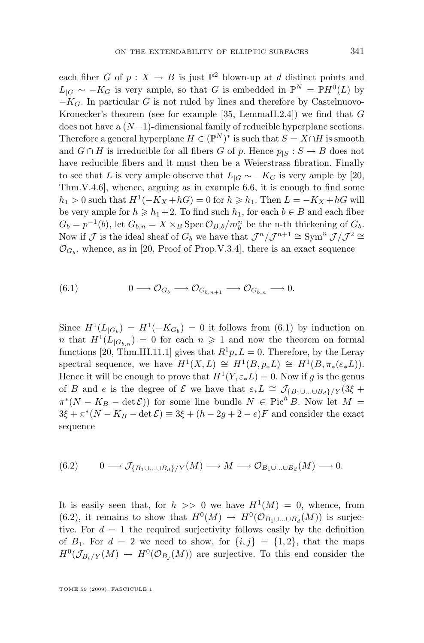each fiber G of  $p: X \to B$  is just  $\mathbb{P}^2$  blown-up at d distinct points and  $L_{|G} \sim -K_G$  is very ample, so that G is embedded in  $\mathbb{P}^N = \mathbb{P}H^0(L)$  by  $-K_G$ . In particular G is not ruled by lines and therefore by Castelnuovo-Kronecker's theorem (see for example [\[35,](#page-35-0) LemmaII.2.4]) we find that  $G$ does not have a  $(N-1)$ -dimensional family of reducible hyperplane sections. Therefore a general hyperplane  $H \in (\mathbb{P}^{N})^*$  is such that  $S = X \cap H$  is smooth and  $G \cap H$  is irreducible for all fibers G of p. Hence  $p_{|S} : S \to B$  does not have reducible fibers and it must then be a Weierstrass fibration. Finally to see that L is very ample observe that  $L_{|G} \sim -K_G$  is very ample by [\[20,](#page-34-0) Thm.V.4.6], whence, arguing as in example [6.6,](#page-29-0) it is enough to find some  $h_1 > 0$  such that  $H^1(-K_X + hG) = 0$  for  $h \ge h_1$ . Then  $L = -K_X + hG$  will be very ample for  $h \ge h_1 + 2$ . To find such  $h_1$ , for each  $b \in B$  and each fiber  $G_b = p^{-1}(b)$ , let  $G_{b,n} = X \times_B \text{Spec } \mathcal{O}_{B,b}/m_b^n$  be the n-th thickening of  $G_b$ . Now if  $\mathcal J$  is the ideal sheaf of  $G_b$  we have that  $\mathcal J^n/\mathcal J^{n+1} \cong \text{Sym}^n \mathcal J/\mathcal J^2 \cong$  $\mathcal{O}_{G_b}$ , whence, as in [\[20,](#page-34-0) Proof of Prop.V.3.4], there is an exact sequence

$$
(6.1) \t 0 \longrightarrow \mathcal{O}_{G_b} \longrightarrow \mathcal{O}_{G_{b,n+1}} \longrightarrow \mathcal{O}_{G_{b,n}} \longrightarrow 0.
$$

Since  $H^1(L_{|G_b}) = H^1(-K_{G_b}) = 0$  it follows from (6.1) by induction on *n* that  $H^1(L_{|G_{b,n}}) = 0$  for each  $n \ge 1$  and now the theorem on formal functions [\[20,](#page-34-0) Thm.III.11.1] gives that  $R^1p_*L = 0$ . Therefore, by the Leray spectral sequence, we have  $H^1(X, L) \cong H^1(B, p_*L) \cong H^1(B, \pi_*(\varepsilon_*L)).$ Hence it will be enough to prove that  $H^1(Y, \varepsilon_* L) = 0$ . Now if g is the genus of B and e is the degree of E we have that  $\varepsilon_* L \cong \mathcal{J}_{\{B_1 \cup \ldots \cup B_d\}/Y} (3\xi +$  $\pi^*(N - K_B - \det \mathcal{E})$  for some line bundle  $N \in \operatorname{Pic}^h B$ . Now let  $M =$  $3\xi + \pi^*(N - K_B - \det \mathcal{E}) \equiv 3\xi + (h - 2g + 2 - e)F$  and consider the exact sequence

$$
(6.2) \qquad 0 \longrightarrow \mathcal{J}_{\{B_1 \cup \ldots \cup B_d\}/Y}(M) \longrightarrow M \longrightarrow \mathcal{O}_{B_1 \cup \ldots \cup B_d}(M) \longrightarrow 0.
$$

It is easily seen that, for  $h \geq 0$  we have  $H^1(M) = 0$ , whence, from (6.2), it remains to show that  $H^0(M) \to H^0(\mathcal{O}_{B_1 \cup ... \cup B_d}(M))$  is surjective. For  $d = 1$  the required surjectivity follows easily by the definition of  $B_1$ . For  $d = 2$  we need to show, for  $\{i, j\} = \{1, 2\}$ , that the maps  $H^0(\mathcal{J}_{B_i/Y}(M) \to H^0(\mathcal{O}_{B_j}(M))$  are surjective. To this end consider the

TOME 59 (2009), FASCICULE 1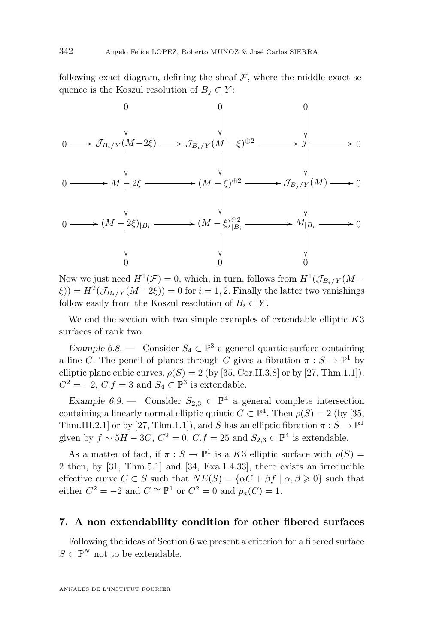following exact diagram, defining the sheaf  $\mathcal{F}$ , where the middle exact sequence is the Koszul resolution of  $B_i \subset Y$ :



Now we just need  $H^1(\mathcal{F}) = 0$ , which, in turn, follows from  $H^1(\mathcal{J}_{B_i/Y}(M \zeta$ )) =  $H^2(\mathcal{J}_{B_i/Y}(M-2\xi)) = 0$  for  $i = 1, 2$ . Finally the latter two vanishings follow easily from the Koszul resolution of  $B_i \subset Y$ .

We end the section with two simple examples of extendable elliptic  $K3$ surfaces of rank two.

*Example 6.8.* — Consider  $S_4 \subset \mathbb{P}^3$  a general quartic surface containing a line C. The pencil of planes through C gives a fibration  $\pi : S \to \mathbb{P}^1$  by elliptic plane cubic curves,  $\rho(S) = 2$  (by [\[35,](#page-35-0) Cor.II.3.8] or by [\[27,](#page-35-0) Thm.1.1]),  $C^2 = -2$ ,  $C.f = 3$  and  $S_4 \subset \mathbb{P}^3$  is extendable.

*Example 6.9.* — Consider  $S_{2,3} \subset \mathbb{P}^4$  a general complete intersection containing a linearly normal elliptic quintic  $C \subset \mathbb{P}^4$ . Then  $\rho(S) = 2$  (by [\[35,](#page-35-0) Thm.III.2.1] or by [\[27,](#page-35-0) Thm.1.1]), and S has an elliptic fibration  $\pi : S \to \mathbb{P}^1$ given by  $f \sim 5H - 3C$ ,  $C^2 = 0$ ,  $C.f = 25$  and  $S_{2,3} \subset \mathbb{P}^4$  is extendable.

As a matter of fact, if  $\pi : S \to \mathbb{P}^1$  is a K3 elliptic surface with  $\rho(S) =$ 2 then, by [\[31,](#page-35-0) Thm.5.1] and [\[34,](#page-35-0) Exa.1.4.33], there exists an irreducible effective curve  $C \subset S$  such that  $\overline{NE}(S) = {\alpha C + \beta f \mid \alpha, \beta \geq 0}$  such that either  $C^2 = -2$  and  $C \cong \mathbb{P}^1$  or  $C^2 = 0$  and  $p_a(C) = 1$ .

#### **7. A non extendability condition for other fibered surfaces**

Following the ideas of Section [6](#page-28-0) we present a criterion for a fibered surface  $S \subset \mathbb{P}^N$  not to be extendable.

<span id="page-32-0"></span>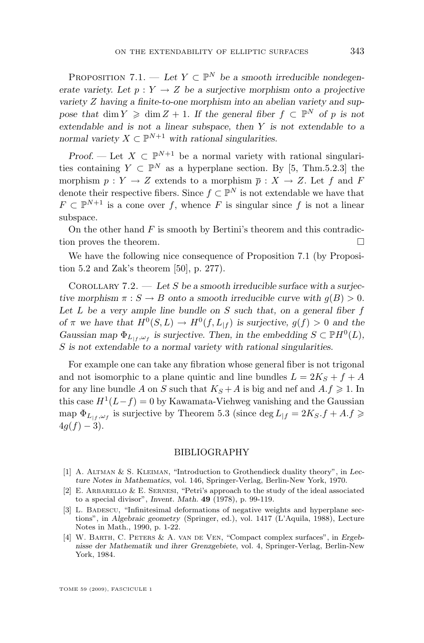<span id="page-33-0"></span>PROPOSITION 7.1. — Let  $Y \subset \mathbb{P}^N$  be a smooth irreducible nondegen*erate variety.* Let  $p: Y \to Z$  be a surjective morphism onto a projective *variety* Z *having a finite-to-one morphism into an abelian variety and suppose that* dim  $Y \geq \dim Z + 1$ . If the general fiber  $f \subset \mathbb{P}^N$  of p is not *extendable and is not a linear subspace, then* Y *is not extendable to a normal variety*  $X \subset \mathbb{P}^{N+1}$  *with rational singularities.* 

*Proof.* — Let  $X \subset \mathbb{P}^{N+1}$  be a normal variety with rational singularities containing  $Y \subset \mathbb{P}^N$  as a hyperplane section. By [\[5,](#page-34-0) Thm.5.2.3] the morphism  $p: Y \to Z$  extends to a morphism  $\overline{p}: X \to Z$ . Let f and F denote their respective fibers. Since  $f \subset \mathbb{P}^N$  is not extendable we have that  $F \subset \mathbb{P}^{N+1}$  is a cone over f, whence F is singular since f is not a linear subspace.

On the other hand  $F$  is smooth by Bertini's theorem and this contradiction proves the theorem.

We have the following nice consequence of Proposition [7.1](#page-32-0) (by Proposition [5.2](#page-23-0) and Zak's theorem [\[50\]](#page-36-0), p. 277).

Corollary 7.2. — *Let* S *be a smooth irreducible surface with a surjective morphism*  $\pi : S \to B$  *onto a smooth irreducible curve with*  $g(B) > 0$ *. Let* L *be a very ample line bundle on* S *such that, on a general fiber* f *of*  $\pi$  *we have that*  $H^0(S, L) \to H^0(f, L_{|f})$  *is surjective,*  $g(f) > 0$  *and the Gaussian map*  $\Phi_{L_{|f}, \omega_f}$  *is surjective. Then, in the embedding*  $S \subset \mathbb{P}H^0(L)$ *,* S *is not extendable to a normal variety with rational singularities.*

For example one can take any fibration whose general fiber is not trigonal and not isomorphic to a plane quintic and line bundles  $L = 2K<sub>S</sub> + f + A$ for any line bundle A on S such that  $K_S + A$  is big and nef and  $A.f \geq 1$ . In this case  $H^1(L-f) = 0$  by Kawamata-Viehweg vanishing and the Gaussian map  $\Phi_{L_{|f},\omega_f}$  is surjective by Theorem [5.3](#page-24-0) (since  $\deg L_{|f} = 2K_S.f + A.f \geq$  $4q(f) - 3$ .

#### BIBLIOGRAPHY

- [1] A. Altman & S. Kleiman, "Introduction to Grothendieck duality theory", in *Lecture Notes in Mathematics*, vol. 146, Springer-Verlag, Berlin-New York, 1970.
- [2] E. ARBARELLO  $&\&$  E. SERNESI, "Petri's approach to the study of the ideal associated to a special divisor", *Invent. Math.* **49** (1978), p. 99-119.
- [3] L. BADESCU, "Infinitesimal deformations of negative weights and hyperplane sections", in *Algebraic geometry* (Springer, ed.), vol. 1417 (L'Aquila, 1988), Lecture Notes in Math., 1990, p. 1-22.
- [4] W. Barth, C. Peters & A. van de Ven, "Compact complex surfaces", in *Ergebnisse der Mathematik und ihrer Grenzgebiete*, vol. 4, Springer-Verlag, Berlin-New York, 1984.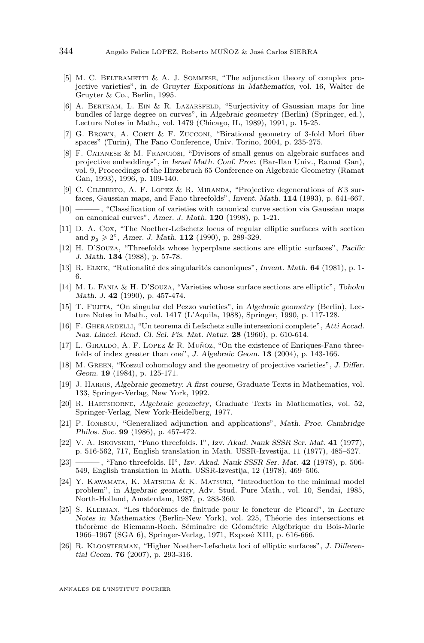- <span id="page-34-0"></span>[5] M. C. BELTRAMETTI  $& A$ . J. SOMMESE, "The adjunction theory of complex projective varieties", in *de Gruyter Expositions in Mathematics*, vol. 16, Walter de Gruyter & Co., Berlin, 1995.
- [6] A. BERTRAM, L. EIN & R. LAZARSFELD, "Surjectivity of Gaussian maps for line bundles of large degree on curves", in *Algebraic geometry* (Berlin) (Springer, ed.), Lecture Notes in Math., vol. 1479 (Chicago, IL, 1989), 1991, p. 15-25.
- [7] G. BROWN, A. CORTI & F. ZUCCONI, "Birational geometry of 3-fold Mori fiber spaces" (Turin), The Fano Conference, Univ. Torino, 2004, p. 235-275.
- [8] F. Catanese & M. Franciosi, "Divisors of small genus on algebraic surfaces and projective embeddings", in *Israel Math. Conf. Proc.* (Bar-Ilan Univ., Ramat Gan), vol. 9, Proceedings of the Hirzebruch 65 Conference on Algebraic Geometry (Ramat Gan, 1993), 1996, p. 109-140.
- [9] C. CILIBERTO, A. F. LOPEZ & R. MIRANDA, "Projective degenerations of  $K3$  surfaces, Gaussian maps, and Fano threefolds", *Invent. Math.* **114** (1993), p. 641-667.
- [10] ——— , "Classification of varieties with canonical curve section via Gaussian maps on canonical curves", *Amer. J. Math.* **120** (1998), p. 1-21.
- [11] D. A. Cox, "The Noether-Lefschetz locus of regular elliptic surfaces with section and  $p_q \geq 2$ ", *Amer. J. Math.* **112** (1990), p. 289-329.
- [12] H. D'Souza, "Threefolds whose hyperplane sections are elliptic surfaces", *Pacific J. Math.* **134** (1988), p. 57-78.
- [13] R. Elkik, "Rationalité des singularités canoniques", *Invent. Math.* **64** (1981), p. 1- 6.
- [14] M. L. Fania & H. D'Souza, "Varieties whose surface sections are elliptic", *Tohoku Math. J.* **42** (1990), p. 457-474.
- [15] T. Fujita, "On singular del Pezzo varieties", in *Algebraic geometry* (Berlin), Lecture Notes in Math., vol. 1417 (L'Aquila, 1988), Springer, 1990, p. 117-128.
- [16] F. Gherardelli, "Un teorema di Lefschetz sulle intersezioni complete", *Atti Accad. Naz. Lincei. Rend. Cl. Sci. Fis. Mat. Natur.* **28** (1960), p. 610-614.
- [17] L. Giraldo, A. F. Lopez & R. Muñoz, "On the existence of Enriques-Fano threefolds of index greater than one", *J. Algebraic Geom.* **13** (2004), p. 143-166.
- [18] M. Green, "Koszul cohomology and the geometry of projective varieties", *J. Differ. Geom.* **19** (1984), p. 125-171.
- [19] J. Harris, *Algebraic geometry. A first course*, Graduate Texts in Mathematics, vol. 133, Springer-Verlag, New York, 1992.
- [20] R. Hartshorne, *Algebraic geometry*, Graduate Texts in Mathematics, vol. 52, Springer-Verlag, New York-Heidelberg, 1977.
- [21] P. Ionescu, "Generalized adjunction and applications", *Math. Proc. Cambridge Philos. Soc.* **99** (1986), p. 457-472.
- [22] V. A. Iskovskih, "Fano threefolds. I", *Izv. Akad. Nauk SSSR Ser. Mat.* **41** (1977), p. 516-562, 717, English translation in Math. USSR-Izvestija, 11 (1977), 485–527.
- [23] ——— , "Fano threefolds. II", *Izv. Akad. Nauk SSSR Ser. Mat.* **42** (1978), p. 506- 549, English translation in Math. USSR-Izvestija, 12 (1978), 469–506.
- [24] Y. KAWAMATA, K. MATSUDA & K. MATSUKI, "Introduction to the minimal model problem", in *Algebraic geometry*, Adv. Stud. Pure Math., vol. 10, Sendai, 1985, North-Holland, Amsterdam, 1987, p. 283-360.
- [25] S. Kleiman, "Les théorèmes de finitude pour le foncteur de Picard", in *Lecture Notes in Mathematics* (Berlin-New York), vol. 225, Théorie des intersections et théorème de Riemann-Roch. Séminaire de Géométrie Algébrique du Bois-Marie 1966–1967 (SGA 6), Springer-Verlag, 1971, Exposé XIII, p. 616-666.
- [26] R. Kloosterman, "Higher Noether-Lefschetz loci of elliptic surfaces", *J. Differential Geom.* **76** (2007), p. 293-316.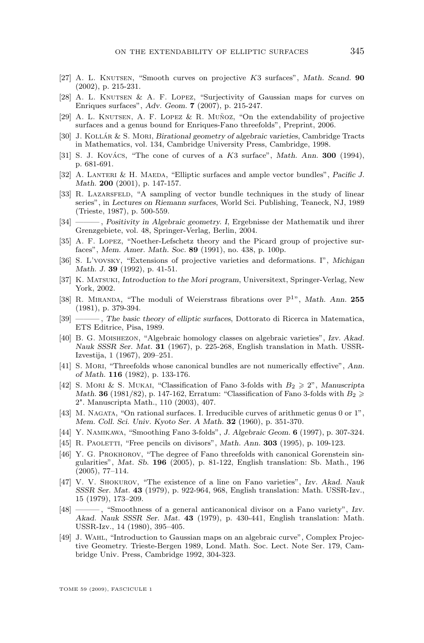- <span id="page-35-0"></span>[27] A. L. Knutsen, "Smooth curves on projective K3 surfaces", *Math. Scand.* **90** (2002), p. 215-231.
- [28] A. L. Knutsen & A. F. Lopez, "Surjectivity of Gaussian maps for curves on Enriques surfaces", *Adv. Geom.* **7** (2007), p. 215-247.
- [29] A. L. Knutsen, A. F. Lopez & R. Muñoz, "On the extendability of projective surfaces and a genus bound for Enriques-Fano threefolds", Preprint, 2006.
- [30] J. Kollár & S. Mori, *Birational geometry of algebraic varieties*, Cambridge Tracts in Mathematics, vol. 134, Cambridge University Press, Cambridge, 1998.
- [31] S. J. Kovács, "The cone of curves of a K3 surface", *Math. Ann.* **300** (1994), p. 681-691.
- [32] A. Lanteri & H. Maeda, "Elliptic surfaces and ample vector bundles", *Pacific J. Math.* **200** (2001), p. 147-157.
- [33] R. LAZARSFELD, "A sampling of vector bundle techniques in the study of linear series", in *Lectures on Riemann surfaces*, World Sci. Publishing, Teaneck, NJ, 1989 (Trieste, 1987), p. 500-559.
- [34] ——— , *Positivity in Algebraic geometry. I*, Ergebnisse der Mathematik und ihrer Grenzgebiete, vol. 48, Springer-Verlag, Berlin, 2004.
- [35] A. F. Lopez, "Noether-Lefschetz theory and the Picard group of projective surfaces", *Mem. Amer. Math. Soc.* **89** (1991), no. 438, p. 100p.
- [36] S. L'vovsky, "Extensions of projective varieties and deformations. I", *Michigan Math. J.* **39** (1992), p. 41-51.
- [37] K. Matsuki, *Introduction to the Mori program*, Universitext, Springer-Verlag, New York, 2002.
- [38] R. MIRANDA, "The moduli of Weierstrass fibrations over  $\mathbb{P}^{1}$ ", *Math. Ann.* 255 (1981), p. 379-394.
- [39] ——— , *The basic theory of elliptic surfaces*, Dottorato di Ricerca in Matematica, ETS Editrice, Pisa, 1989.
- [40] B. G. Moishezon, "Algebraic homology classes on algebraic varieties", *Izv. Akad. Nauk SSSR Ser. Mat.* **31** (1967), p. 225-268, English translation in Math. USSR-Izvestija, 1 (1967), 209–251.
- [41] S. Mori, "Threefolds whose canonical bundles are not numerically effective", *Ann. of Math.* **116** (1982), p. 133-176.
- [42] S. Mori & S. Mukai, "Classification of Fano 3-folds with  $B_2 \geqslant 2$ ", *Manuscripta Math.* **36** (1981/82), p. 147-162, Erratum: "Classification of Fano 3-folds with  $B_2 \geq$ 2". Manuscripta Math., 110 (2003), 407.
- [43] M. Nagata, "On rational surfaces. I. Irreducible curves of arithmetic genus 0 or 1", *Mem. Coll. Sci. Univ. Kyoto Ser. A Math.* **32** (1960), p. 351-370.
- [44] Y. Namikawa, "Smoothing Fano 3-folds", *J. Algebraic Geom.* **6** (1997), p. 307-324.
- [45] R. Paoletti, "Free pencils on divisors", *Math. Ann.* **303** (1995), p. 109-123.
- [46] Y. G. Prokhorov, "The degree of Fano threefolds with canonical Gorenstein singularities", *Mat. Sb.* **196** (2005), p. 81-122, English translation: Sb. Math., 196 (2005), 77–114.
- [47] V. V. Shokurov, "The existence of a line on Fano varieties", *Izv. Akad. Nauk SSSR Ser. Mat.* **43** (1979), p. 922-964, 968, English translation: Math. USSR-Izv., 15 (1979), 173–209.
- [48] ——— , "Smoothness of a general anticanonical divisor on a Fano variety", *Izv. Akad. Nauk SSSR Ser. Mat.* **43** (1979), p. 430-441, English translation: Math. USSR-Izv., 14 (1980), 395–405.
- [49] J. Wahl, "Introduction to Gaussian maps on an algebraic curve", Complex Projective Geometry. Trieste-Bergen 1989, Lond. Math. Soc. Lect. Note Ser. 179, Cambridge Univ. Press, Cambridge 1992, 304-323.